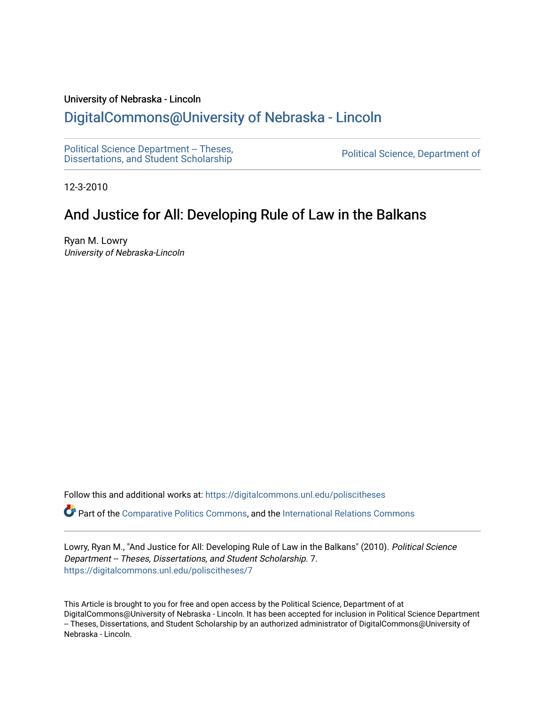#### University of Nebraska - Lincoln

# [DigitalCommons@University of Nebraska - Lincoln](https://digitalcommons.unl.edu/)

[Political Science Department -- Theses,](https://digitalcommons.unl.edu/poliscitheses) Political Science Department - Theses,<br>[Dissertations, and Student Scholarship](https://digitalcommons.unl.edu/poliscitheses) Political Science, Department of

12-3-2010

# And Justice for All: Developing Rule of Law in the Balkans

Ryan M. Lowry University of Nebraska-Lincoln

Follow this and additional works at: [https://digitalcommons.unl.edu/poliscitheses](https://digitalcommons.unl.edu/poliscitheses?utm_source=digitalcommons.unl.edu%2Fpoliscitheses%2F7&utm_medium=PDF&utm_campaign=PDFCoverPages)

Part of the [Comparative Politics Commons,](http://network.bepress.com/hgg/discipline/388?utm_source=digitalcommons.unl.edu%2Fpoliscitheses%2F7&utm_medium=PDF&utm_campaign=PDFCoverPages) and the [International Relations Commons](http://network.bepress.com/hgg/discipline/389?utm_source=digitalcommons.unl.edu%2Fpoliscitheses%2F7&utm_medium=PDF&utm_campaign=PDFCoverPages)

Lowry, Ryan M., "And Justice for All: Developing Rule of Law in the Balkans" (2010). Political Science Department -- Theses, Dissertations, and Student Scholarship. 7. [https://digitalcommons.unl.edu/poliscitheses/7](https://digitalcommons.unl.edu/poliscitheses/7?utm_source=digitalcommons.unl.edu%2Fpoliscitheses%2F7&utm_medium=PDF&utm_campaign=PDFCoverPages) 

This Article is brought to you for free and open access by the Political Science, Department of at DigitalCommons@University of Nebraska - Lincoln. It has been accepted for inclusion in Political Science Department -- Theses, Dissertations, and Student Scholarship by an authorized administrator of DigitalCommons@University of Nebraska - Lincoln.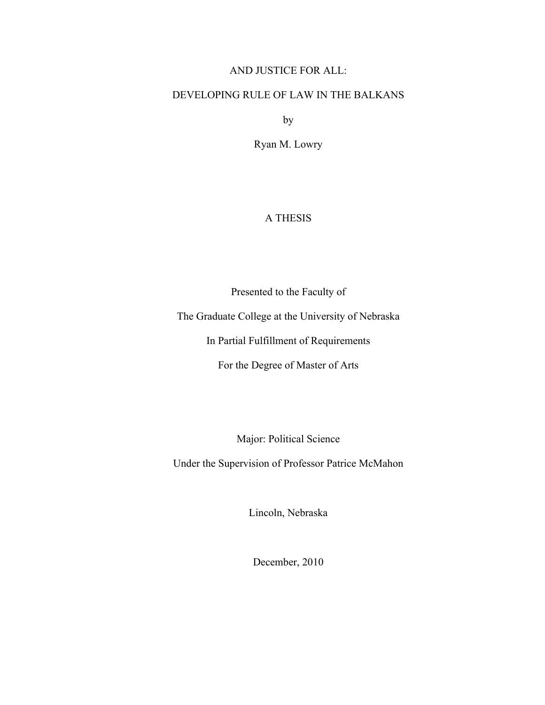## AND JUSTICE FOR ALL:

## DEVELOPING RULE OF LAW IN THE BALKANS

by

Ryan M. Lowry

### A THESIS

Presented to the Faculty of

The Graduate College at the University of Nebraska

In Partial Fulfillment of Requirements

For the Degree of Master of Arts

Major: Political Science

Under the Supervision of Professor Patrice McMahon

Lincoln, Nebraska

December, 2010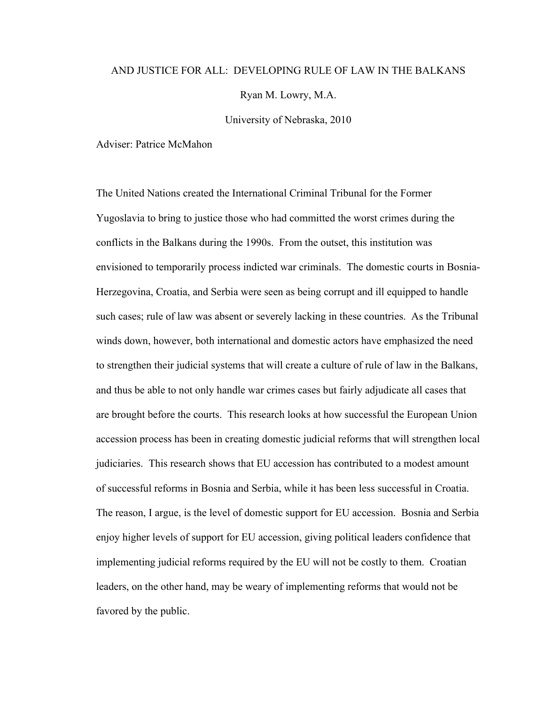#### AND JUSTICE FOR ALL: DEVELOPING RULE OF LAW IN THE BALKANS

Ryan M. Lowry, M.A.

University of Nebraska, 2010

Adviser: Patrice McMahon

The United Nations created the International Criminal Tribunal for the Former Yugoslavia to bring to justice those who had committed the worst crimes during the conflicts in the Balkans during the 1990s. From the outset, this institution was envisioned to temporarily process indicted war criminals. The domestic courts in Bosnia-Herzegovina, Croatia, and Serbia were seen as being corrupt and ill equipped to handle such cases; rule of law was absent or severely lacking in these countries. As the Tribunal winds down, however, both international and domestic actors have emphasized the need to strengthen their judicial systems that will create a culture of rule of law in the Balkans, and thus be able to not only handle war crimes cases but fairly adjudicate all cases that are brought before the courts. This research looks at how successful the European Union accession process has been in creating domestic judicial reforms that will strengthen local judiciaries. This research shows that EU accession has contributed to a modest amount of successful reforms in Bosnia and Serbia, while it has been less successful in Croatia. The reason, I argue, is the level of domestic support for EU accession. Bosnia and Serbia enjoy higher levels of support for EU accession, giving political leaders confidence that implementing judicial reforms required by the EU will not be costly to them. Croatian leaders, on the other hand, may be weary of implementing reforms that would not be favored by the public.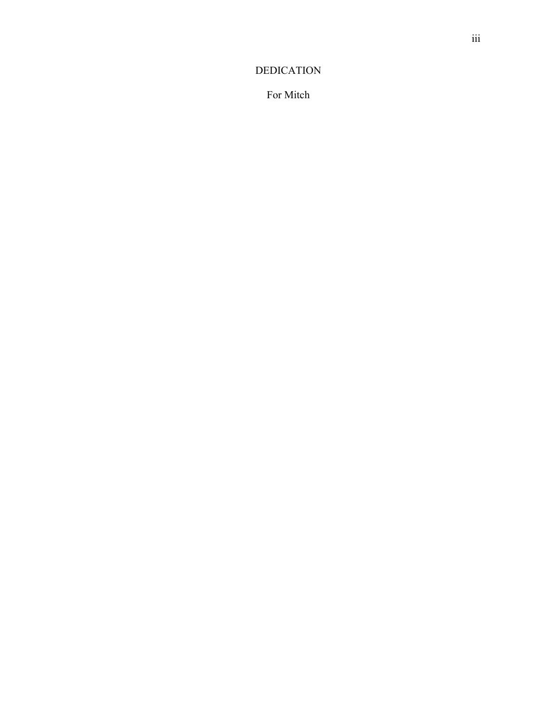## DEDICATION

For Mitch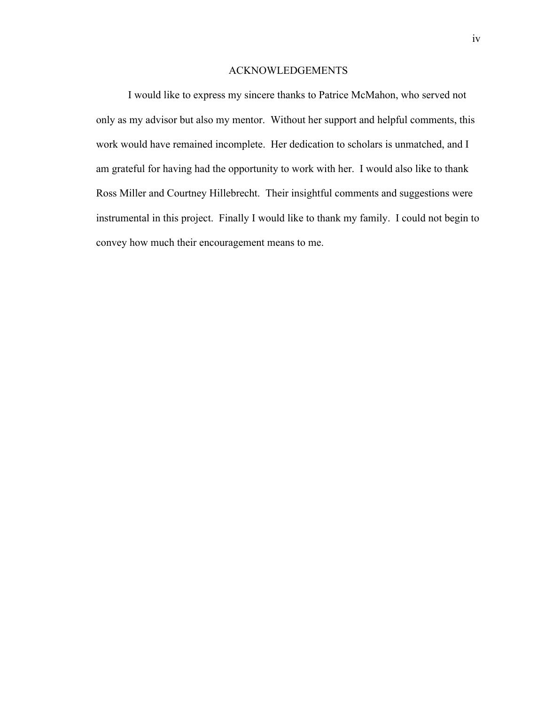#### ACKNOWLEDGEMENTS

I would like to express my sincere thanks to Patrice McMahon, who served not only as my advisor but also my mentor. Without her support and helpful comments, this work would have remained incomplete. Her dedication to scholars is unmatched, and I am grateful for having had the opportunity to work with her. I would also like to thank Ross Miller and Courtney Hillebrecht. Their insightful comments and suggestions were instrumental in this project. Finally I would like to thank my family. I could not begin to convey how much their encouragement means to me.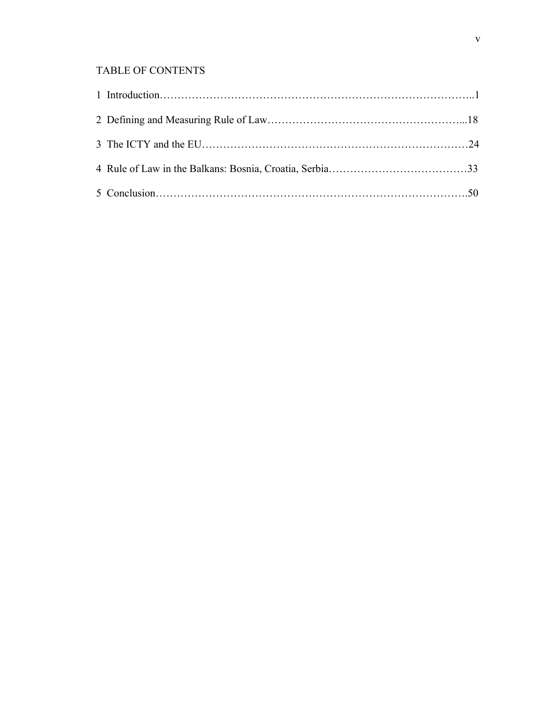## TABLE OF CONTENTS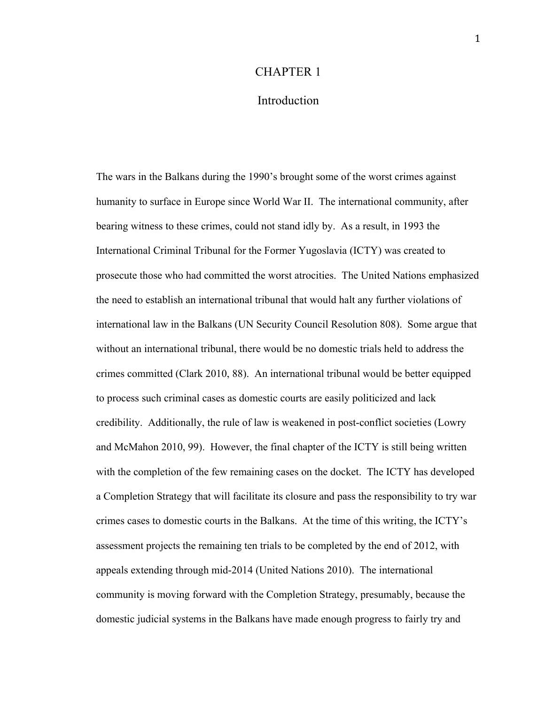#### CHAPTER 1

## Introduction

The wars in the Balkans during the 1990's brought some of the worst crimes against humanity to surface in Europe since World War II. The international community, after bearing witness to these crimes, could not stand idly by. As a result, in 1993 the International Criminal Tribunal for the Former Yugoslavia (ICTY) was created to prosecute those who had committed the worst atrocities. The United Nations emphasized the need to establish an international tribunal that would halt any further violations of international law in the Balkans (UN Security Council Resolution 808). Some argue that without an international tribunal, there would be no domestic trials held to address the crimes committed (Clark 2010, 88). An international tribunal would be better equipped to process such criminal cases as domestic courts are easily politicized and lack credibility. Additionally, the rule of law is weakened in post-conflict societies (Lowry and McMahon 2010, 99). However, the final chapter of the ICTY is still being written with the completion of the few remaining cases on the docket. The ICTY has developed a Completion Strategy that will facilitate its closure and pass the responsibility to try war crimes cases to domestic courts in the Balkans. At the time of this writing, the ICTY's assessment projects the remaining ten trials to be completed by the end of 2012, with appeals extending through mid-2014 (United Nations 2010). The international community is moving forward with the Completion Strategy, presumably, because the domestic judicial systems in the Balkans have made enough progress to fairly try and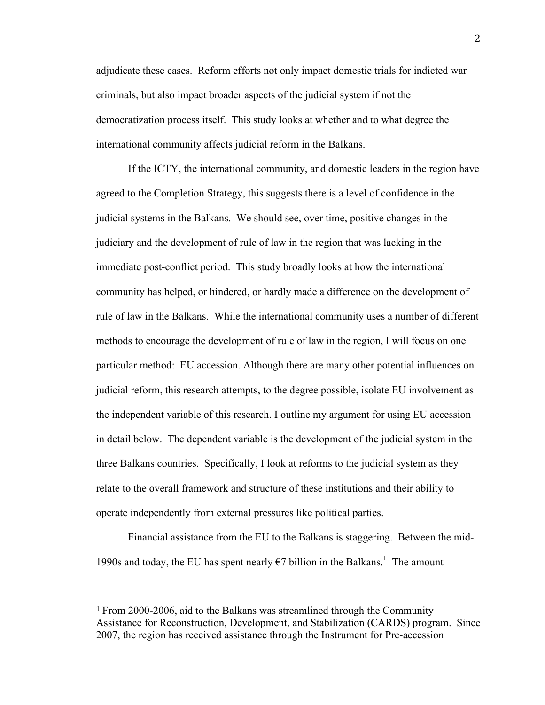adjudicate these cases. Reform efforts not only impact domestic trials for indicted war criminals, but also impact broader aspects of the judicial system if not the democratization process itself. This study looks at whether and to what degree the international community affects judicial reform in the Balkans.

If the ICTY, the international community, and domestic leaders in the region have agreed to the Completion Strategy, this suggests there is a level of confidence in the judicial systems in the Balkans. We should see, over time, positive changes in the judiciary and the development of rule of law in the region that was lacking in the immediate post-conflict period. This study broadly looks at how the international community has helped, or hindered, or hardly made a difference on the development of rule of law in the Balkans. While the international community uses a number of different methods to encourage the development of rule of law in the region, I will focus on one particular method: EU accession. Although there are many other potential influences on judicial reform, this research attempts, to the degree possible, isolate EU involvement as the independent variable of this research. I outline my argument for using EU accession in detail below. The dependent variable is the development of the judicial system in the three Balkans countries. Specifically, I look at reforms to the judicial system as they relate to the overall framework and structure of these institutions and their ability to operate independently from external pressures like political parties.

Financial assistance from the EU to the Balkans is staggering. Between the mid-1990s and today, the EU has spent nearly  $\epsilon$ 7 billion in the Balkans.<sup>1</sup> The amount

<sup>1</sup> From 2000-2006, aid to the Balkans was streamlined through the Community Assistance for Reconstruction, Development, and Stabilization (CARDS) program. Since 2007, the region has received assistance through the Instrument for Pre-accession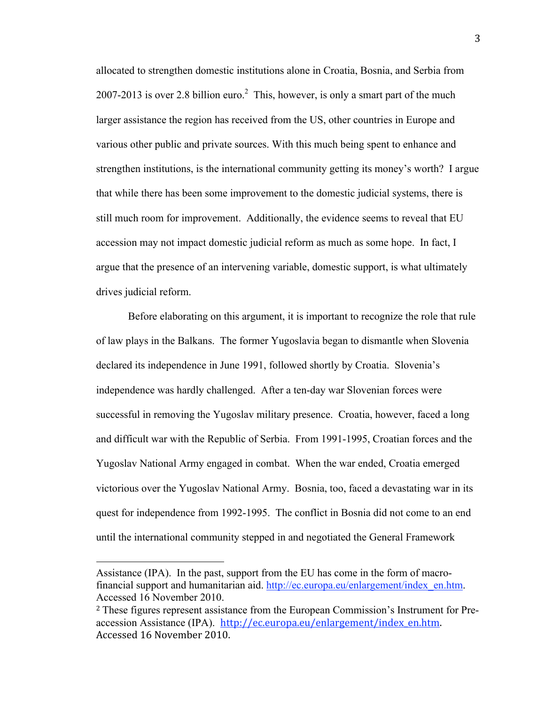allocated to strengthen domestic institutions alone in Croatia, Bosnia, and Serbia from 2007-2013 is over 2.8 billion euro.<sup>2</sup> This, however, is only a smart part of the much larger assistance the region has received from the US, other countries in Europe and various other public and private sources. With this much being spent to enhance and strengthen institutions, is the international community getting its money's worth? I argue that while there has been some improvement to the domestic judicial systems, there is still much room for improvement. Additionally, the evidence seems to reveal that EU accession may not impact domestic judicial reform as much as some hope. In fact, I argue that the presence of an intervening variable, domestic support, is what ultimately drives judicial reform.

Before elaborating on this argument, it is important to recognize the role that rule of law plays in the Balkans. The former Yugoslavia began to dismantle when Slovenia declared its independence in June 1991, followed shortly by Croatia. Slovenia's independence was hardly challenged. After a ten-day war Slovenian forces were successful in removing the Yugoslav military presence. Croatia, however, faced a long and difficult war with the Republic of Serbia. From 1991-1995, Croatian forces and the Yugoslav National Army engaged in combat. When the war ended, Croatia emerged victorious over the Yugoslav National Army. Bosnia, too, faced a devastating war in its quest for independence from 1992-1995. The conflict in Bosnia did not come to an end until the international community stepped in and negotiated the General Framework

Assistance (IPA). In the past, support from the EU has come in the form of macrofinancial support and humanitarian aid. http://ec.europa.eu/enlargement/index\_en.htm. Accessed 16 November 2010.

<sup>2</sup> These figures represent assistance from the European Commission's Instrument for Preaccession Assistance (IPA). http://ec.europa.eu/enlargement/index\_en.htm. Accessed
16
November
2010.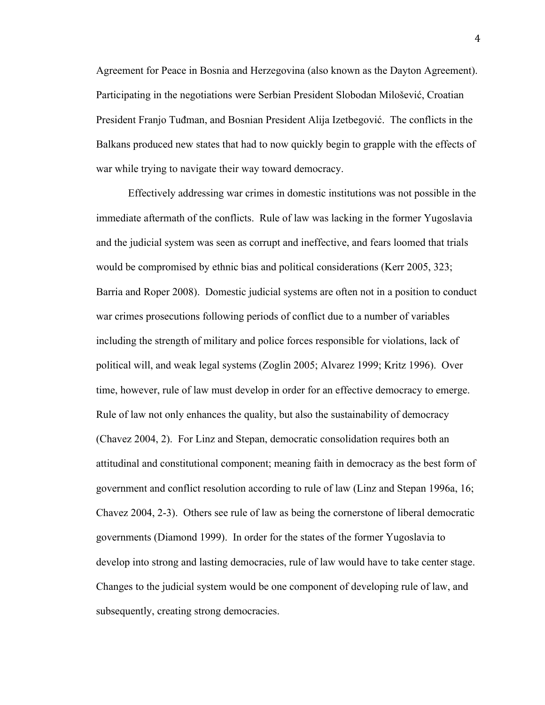Agreement for Peace in Bosnia and Herzegovina (also known as the Dayton Agreement). Participating in the negotiations were Serbian President Slobodan Milošević, Croatian President Franjo Tuđman, and Bosnian President Alija Izetbegović. The conflicts in the Balkans produced new states that had to now quickly begin to grapple with the effects of war while trying to navigate their way toward democracy.

Effectively addressing war crimes in domestic institutions was not possible in the immediate aftermath of the conflicts. Rule of law was lacking in the former Yugoslavia and the judicial system was seen as corrupt and ineffective, and fears loomed that trials would be compromised by ethnic bias and political considerations (Kerr 2005, 323; Barria and Roper 2008). Domestic judicial systems are often not in a position to conduct war crimes prosecutions following periods of conflict due to a number of variables including the strength of military and police forces responsible for violations, lack of political will, and weak legal systems (Zoglin 2005; Alvarez 1999; Kritz 1996). Over time, however, rule of law must develop in order for an effective democracy to emerge. Rule of law not only enhances the quality, but also the sustainability of democracy (Chavez 2004, 2). For Linz and Stepan, democratic consolidation requires both an attitudinal and constitutional component; meaning faith in democracy as the best form of government and conflict resolution according to rule of law (Linz and Stepan 1996a, 16; Chavez 2004, 2-3). Others see rule of law as being the cornerstone of liberal democratic governments (Diamond 1999). In order for the states of the former Yugoslavia to develop into strong and lasting democracies, rule of law would have to take center stage. Changes to the judicial system would be one component of developing rule of law, and subsequently, creating strong democracies.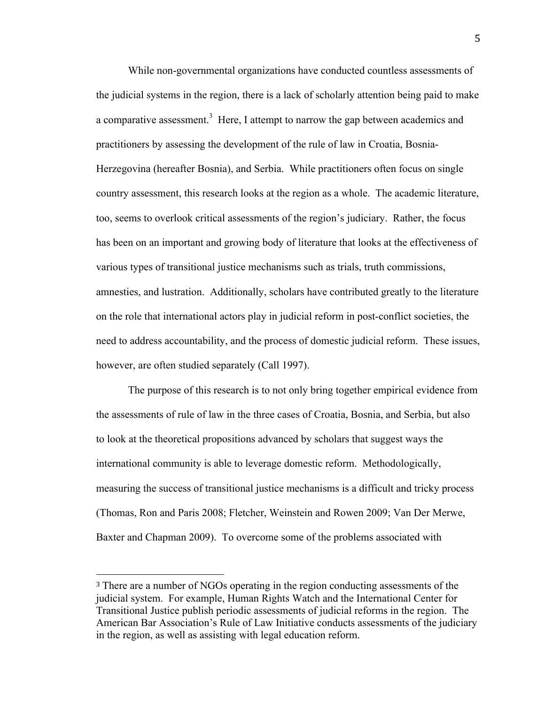While non-governmental organizations have conducted countless assessments of the judicial systems in the region, there is a lack of scholarly attention being paid to make a comparative assessment.<sup>3</sup> Here, I attempt to narrow the gap between academics and practitioners by assessing the development of the rule of law in Croatia, Bosnia-Herzegovina (hereafter Bosnia), and Serbia. While practitioners often focus on single country assessment, this research looks at the region as a whole. The academic literature, too, seems to overlook critical assessments of the region's judiciary. Rather, the focus has been on an important and growing body of literature that looks at the effectiveness of various types of transitional justice mechanisms such as trials, truth commissions, amnesties, and lustration. Additionally, scholars have contributed greatly to the literature on the role that international actors play in judicial reform in post-conflict societies, the need to address accountability, and the process of domestic judicial reform. These issues, however, are often studied separately (Call 1997).

The purpose of this research is to not only bring together empirical evidence from the assessments of rule of law in the three cases of Croatia, Bosnia, and Serbia, but also to look at the theoretical propositions advanced by scholars that suggest ways the international community is able to leverage domestic reform. Methodologically, measuring the success of transitional justice mechanisms is a difficult and tricky process (Thomas, Ron and Paris 2008; Fletcher, Weinstein and Rowen 2009; Van Der Merwe, Baxter and Chapman 2009). To overcome some of the problems associated with

<sup>3</sup> There are a number of NGOs operating in the region conducting assessments of the judicial system. For example, Human Rights Watch and the International Center for Transitional Justice publish periodic assessments of judicial reforms in the region. The American Bar Association's Rule of Law Initiative conducts assessments of the judiciary in the region, as well as assisting with legal education reform.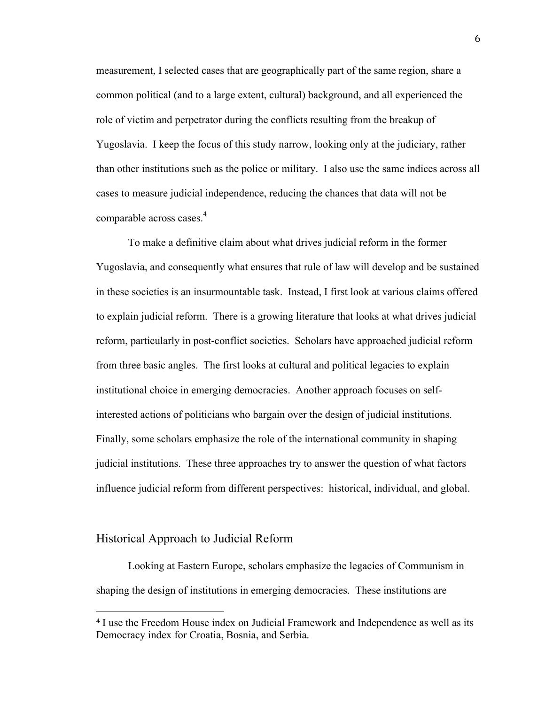measurement, I selected cases that are geographically part of the same region, share a common political (and to a large extent, cultural) background, and all experienced the role of victim and perpetrator during the conflicts resulting from the breakup of Yugoslavia. I keep the focus of this study narrow, looking only at the judiciary, rather than other institutions such as the police or military. I also use the same indices across all cases to measure judicial independence, reducing the chances that data will not be comparable across cases.<sup>4</sup>

To make a definitive claim about what drives judicial reform in the former Yugoslavia, and consequently what ensures that rule of law will develop and be sustained in these societies is an insurmountable task. Instead, I first look at various claims offered to explain judicial reform. There is a growing literature that looks at what drives judicial reform, particularly in post-conflict societies. Scholars have approached judicial reform from three basic angles. The first looks at cultural and political legacies to explain institutional choice in emerging democracies. Another approach focuses on selfinterested actions of politicians who bargain over the design of judicial institutions. Finally, some scholars emphasize the role of the international community in shaping judicial institutions. These three approaches try to answer the question of what factors influence judicial reform from different perspectives: historical, individual, and global.

#### Historical Approach to Judicial Reform

Looking at Eastern Europe, scholars emphasize the legacies of Communism in shaping the design of institutions in emerging democracies. These institutions are

<sup>4</sup> I use the Freedom House index on Judicial Framework and Independence as well as its Democracy index for Croatia, Bosnia, and Serbia.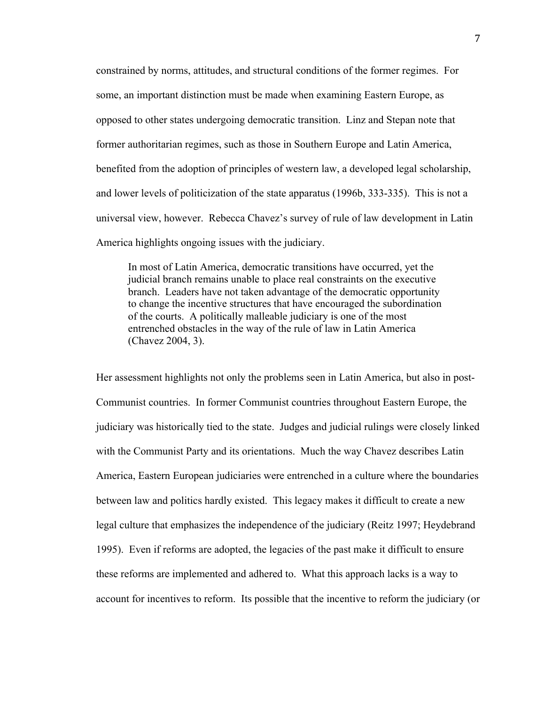constrained by norms, attitudes, and structural conditions of the former regimes. For some, an important distinction must be made when examining Eastern Europe, as opposed to other states undergoing democratic transition. Linz and Stepan note that former authoritarian regimes, such as those in Southern Europe and Latin America, benefited from the adoption of principles of western law, a developed legal scholarship, and lower levels of politicization of the state apparatus (1996b, 333-335). This is not a universal view, however. Rebecca Chavez's survey of rule of law development in Latin America highlights ongoing issues with the judiciary.

In most of Latin America, democratic transitions have occurred, yet the judicial branch remains unable to place real constraints on the executive branch. Leaders have not taken advantage of the democratic opportunity to change the incentive structures that have encouraged the subordination of the courts. A politically malleable judiciary is one of the most entrenched obstacles in the way of the rule of law in Latin America (Chavez 2004, 3).

Her assessment highlights not only the problems seen in Latin America, but also in post-Communist countries. In former Communist countries throughout Eastern Europe, the judiciary was historically tied to the state. Judges and judicial rulings were closely linked with the Communist Party and its orientations. Much the way Chavez describes Latin America, Eastern European judiciaries were entrenched in a culture where the boundaries between law and politics hardly existed. This legacy makes it difficult to create a new legal culture that emphasizes the independence of the judiciary (Reitz 1997; Heydebrand 1995). Even if reforms are adopted, the legacies of the past make it difficult to ensure these reforms are implemented and adhered to. What this approach lacks is a way to account for incentives to reform. Its possible that the incentive to reform the judiciary (or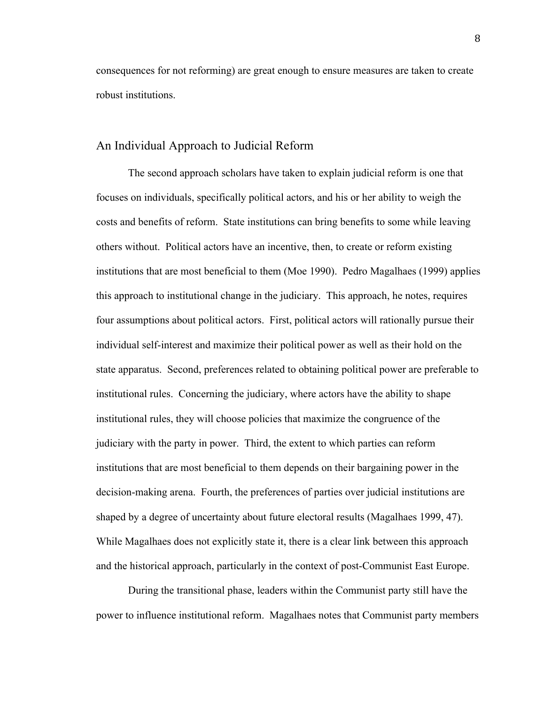consequences for not reforming) are great enough to ensure measures are taken to create robust institutions.

#### An Individual Approach to Judicial Reform

The second approach scholars have taken to explain judicial reform is one that focuses on individuals, specifically political actors, and his or her ability to weigh the costs and benefits of reform. State institutions can bring benefits to some while leaving others without. Political actors have an incentive, then, to create or reform existing institutions that are most beneficial to them (Moe 1990). Pedro Magalhaes (1999) applies this approach to institutional change in the judiciary. This approach, he notes, requires four assumptions about political actors. First, political actors will rationally pursue their individual self-interest and maximize their political power as well as their hold on the state apparatus. Second, preferences related to obtaining political power are preferable to institutional rules. Concerning the judiciary, where actors have the ability to shape institutional rules, they will choose policies that maximize the congruence of the judiciary with the party in power. Third, the extent to which parties can reform institutions that are most beneficial to them depends on their bargaining power in the decision-making arena. Fourth, the preferences of parties over judicial institutions are shaped by a degree of uncertainty about future electoral results (Magalhaes 1999, 47). While Magalhaes does not explicitly state it, there is a clear link between this approach and the historical approach, particularly in the context of post-Communist East Europe.

During the transitional phase, leaders within the Communist party still have the power to influence institutional reform. Magalhaes notes that Communist party members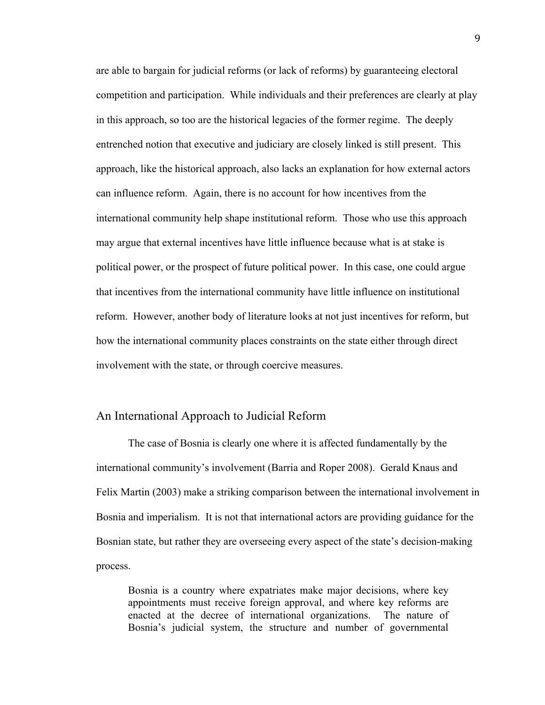are able to bargain for judicial reforms (or lack of reforms) by guaranteeing electoral competition and participation. While individuals and their preferences are clearly at play in this approach, so too are the historical legacies of the former regime. The deeply entrenched notion that executive and judiciary are closely linked is still present. This approach, like the historical approach, also lacks an explanation for how external actors can influence reform. Again, there is no account for how incentives from the international community help shape institutional reform. Those who use this approach may argue that external incentives have little influence because what is at stake is political power, or the prospect of future political power. In this case, one could argue that incentives from the international community have little influence on institutional reform. However, another body of literature looks at not just incentives for reform, but how the international community places constraints on the state either through direct involvement with the state, or through coercive measures.

#### An International Approach to Judicial Reform

The case of Bosnia is clearly one where it is affected fundamentally by the international community's involvement (Barria and Roper 2008). Gerald Knaus and Felix Martin (2003) make a striking comparison between the international involvement in Bosnia and imperialism. It is not that international actors are providing guidance for the Bosnian state, but rather they are overseeing every aspect of the state's decision-making process.

Bosnia is a country where expatriates make major decisions, where key appointments must receive foreign approval, and where key reforms are enacted at the decree of international organizations. The nature of Bosnia's judicial system, the structure and number of governmental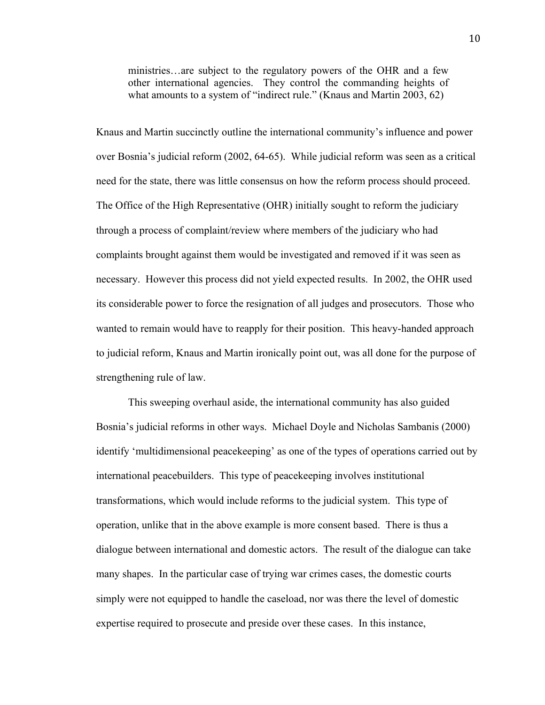ministries…are subject to the regulatory powers of the OHR and a few other international agencies. They control the commanding heights of what amounts to a system of "indirect rule." (Knaus and Martin 2003, 62)

Knaus and Martin succinctly outline the international community's influence and power over Bosnia's judicial reform (2002, 64-65). While judicial reform was seen as a critical need for the state, there was little consensus on how the reform process should proceed. The Office of the High Representative (OHR) initially sought to reform the judiciary through a process of complaint/review where members of the judiciary who had complaints brought against them would be investigated and removed if it was seen as necessary. However this process did not yield expected results. In 2002, the OHR used its considerable power to force the resignation of all judges and prosecutors. Those who wanted to remain would have to reapply for their position. This heavy-handed approach to judicial reform, Knaus and Martin ironically point out, was all done for the purpose of strengthening rule of law.

This sweeping overhaul aside, the international community has also guided Bosnia's judicial reforms in other ways. Michael Doyle and Nicholas Sambanis (2000) identify 'multidimensional peacekeeping' as one of the types of operations carried out by international peacebuilders. This type of peacekeeping involves institutional transformations, which would include reforms to the judicial system. This type of operation, unlike that in the above example is more consent based. There is thus a dialogue between international and domestic actors. The result of the dialogue can take many shapes. In the particular case of trying war crimes cases, the domestic courts simply were not equipped to handle the caseload, nor was there the level of domestic expertise required to prosecute and preside over these cases. In this instance,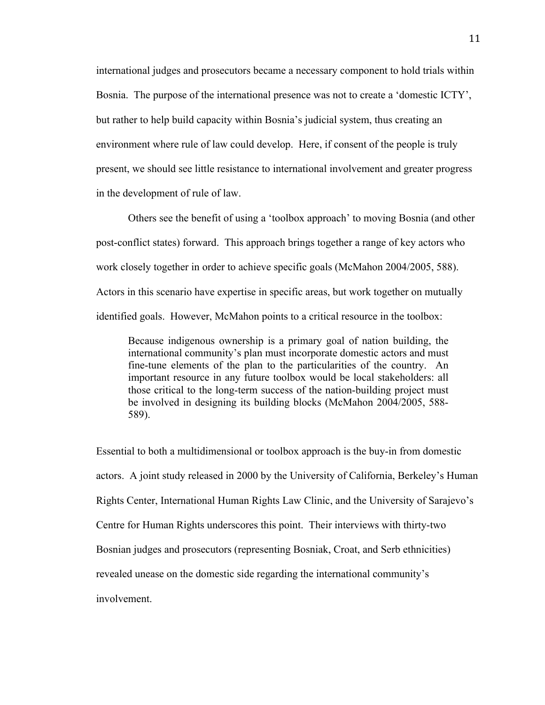international judges and prosecutors became a necessary component to hold trials within Bosnia. The purpose of the international presence was not to create a 'domestic ICTY', but rather to help build capacity within Bosnia's judicial system, thus creating an environment where rule of law could develop. Here, if consent of the people is truly present, we should see little resistance to international involvement and greater progress in the development of rule of law.

Others see the benefit of using a 'toolbox approach' to moving Bosnia (and other post-conflict states) forward. This approach brings together a range of key actors who work closely together in order to achieve specific goals (McMahon 2004/2005, 588). Actors in this scenario have expertise in specific areas, but work together on mutually identified goals. However, McMahon points to a critical resource in the toolbox:

Because indigenous ownership is a primary goal of nation building, the international community's plan must incorporate domestic actors and must fine-tune elements of the plan to the particularities of the country. An important resource in any future toolbox would be local stakeholders: all those critical to the long-term success of the nation-building project must be involved in designing its building blocks (McMahon 2004/2005, 588- 589).

Essential to both a multidimensional or toolbox approach is the buy-in from domestic actors. A joint study released in 2000 by the University of California, Berkeley's Human Rights Center, International Human Rights Law Clinic, and the University of Sarajevo's Centre for Human Rights underscores this point. Their interviews with thirty-two Bosnian judges and prosecutors (representing Bosniak, Croat, and Serb ethnicities) revealed unease on the domestic side regarding the international community's involvement.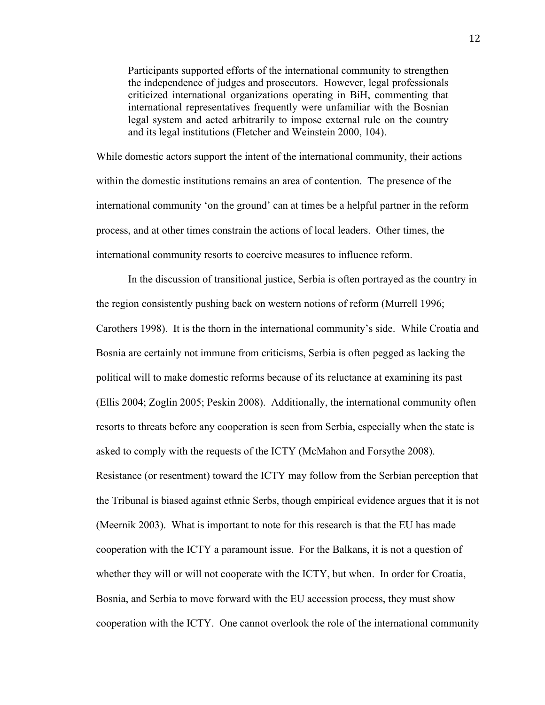Participants supported efforts of the international community to strengthen the independence of judges and prosecutors. However, legal professionals criticized international organizations operating in BiH, commenting that international representatives frequently were unfamiliar with the Bosnian legal system and acted arbitrarily to impose external rule on the country and its legal institutions (Fletcher and Weinstein 2000, 104).

While domestic actors support the intent of the international community, their actions within the domestic institutions remains an area of contention. The presence of the international community 'on the ground' can at times be a helpful partner in the reform process, and at other times constrain the actions of local leaders. Other times, the international community resorts to coercive measures to influence reform.

In the discussion of transitional justice, Serbia is often portrayed as the country in the region consistently pushing back on western notions of reform (Murrell 1996; Carothers 1998). It is the thorn in the international community's side. While Croatia and Bosnia are certainly not immune from criticisms, Serbia is often pegged as lacking the political will to make domestic reforms because of its reluctance at examining its past (Ellis 2004; Zoglin 2005; Peskin 2008). Additionally, the international community often resorts to threats before any cooperation is seen from Serbia, especially when the state is asked to comply with the requests of the ICTY (McMahon and Forsythe 2008). Resistance (or resentment) toward the ICTY may follow from the Serbian perception that the Tribunal is biased against ethnic Serbs, though empirical evidence argues that it is not (Meernik 2003). What is important to note for this research is that the EU has made cooperation with the ICTY a paramount issue. For the Balkans, it is not a question of whether they will or will not cooperate with the ICTY, but when. In order for Croatia, Bosnia, and Serbia to move forward with the EU accession process, they must show cooperation with the ICTY. One cannot overlook the role of the international community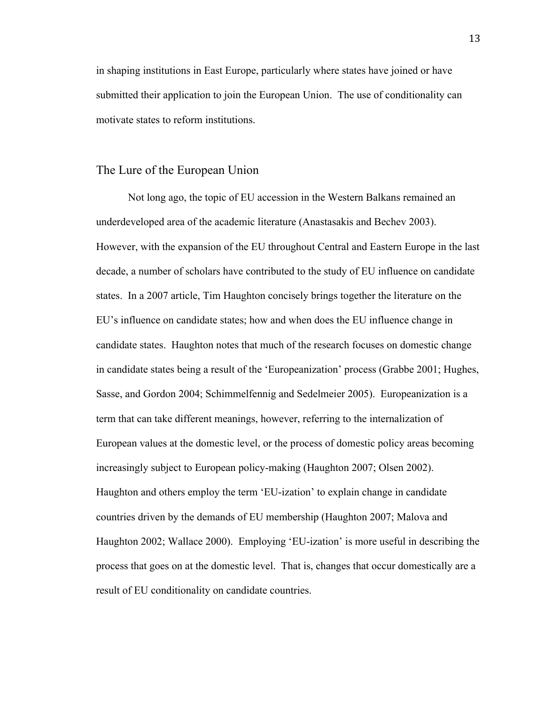in shaping institutions in East Europe, particularly where states have joined or have submitted their application to join the European Union. The use of conditionality can motivate states to reform institutions.

#### The Lure of the European Union

Not long ago, the topic of EU accession in the Western Balkans remained an underdeveloped area of the academic literature (Anastasakis and Bechev 2003). However, with the expansion of the EU throughout Central and Eastern Europe in the last decade, a number of scholars have contributed to the study of EU influence on candidate states. In a 2007 article, Tim Haughton concisely brings together the literature on the EU's influence on candidate states; how and when does the EU influence change in candidate states. Haughton notes that much of the research focuses on domestic change in candidate states being a result of the 'Europeanization' process (Grabbe 2001; Hughes, Sasse, and Gordon 2004; Schimmelfennig and Sedelmeier 2005). Europeanization is a term that can take different meanings, however, referring to the internalization of European values at the domestic level, or the process of domestic policy areas becoming increasingly subject to European policy-making (Haughton 2007; Olsen 2002). Haughton and others employ the term 'EU-ization' to explain change in candidate countries driven by the demands of EU membership (Haughton 2007; Malova and Haughton 2002; Wallace 2000). Employing 'EU-ization' is more useful in describing the process that goes on at the domestic level. That is, changes that occur domestically are a result of EU conditionality on candidate countries.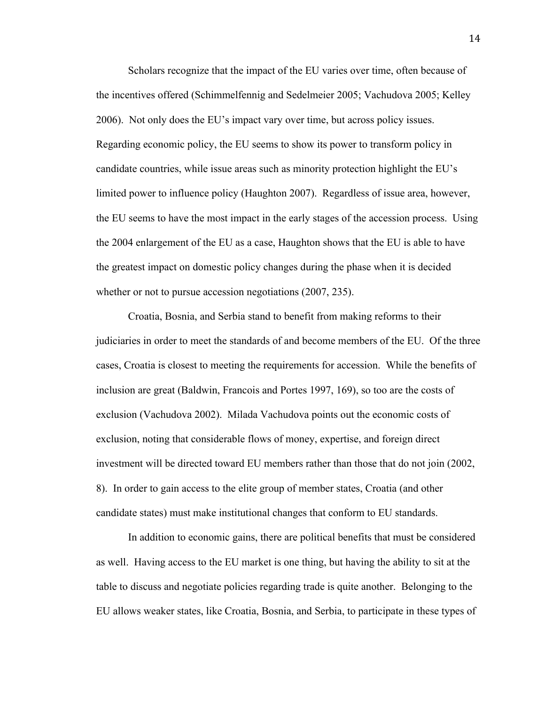Scholars recognize that the impact of the EU varies over time, often because of the incentives offered (Schimmelfennig and Sedelmeier 2005; Vachudova 2005; Kelley 2006). Not only does the EU's impact vary over time, but across policy issues. Regarding economic policy, the EU seems to show its power to transform policy in candidate countries, while issue areas such as minority protection highlight the EU's limited power to influence policy (Haughton 2007). Regardless of issue area, however, the EU seems to have the most impact in the early stages of the accession process. Using the 2004 enlargement of the EU as a case, Haughton shows that the EU is able to have the greatest impact on domestic policy changes during the phase when it is decided whether or not to pursue accession negotiations (2007, 235).

Croatia, Bosnia, and Serbia stand to benefit from making reforms to their judiciaries in order to meet the standards of and become members of the EU. Of the three cases, Croatia is closest to meeting the requirements for accession. While the benefits of inclusion are great (Baldwin, Francois and Portes 1997, 169), so too are the costs of exclusion (Vachudova 2002). Milada Vachudova points out the economic costs of exclusion, noting that considerable flows of money, expertise, and foreign direct investment will be directed toward EU members rather than those that do not join (2002, 8). In order to gain access to the elite group of member states, Croatia (and other candidate states) must make institutional changes that conform to EU standards.

In addition to economic gains, there are political benefits that must be considered as well. Having access to the EU market is one thing, but having the ability to sit at the table to discuss and negotiate policies regarding trade is quite another. Belonging to the EU allows weaker states, like Croatia, Bosnia, and Serbia, to participate in these types of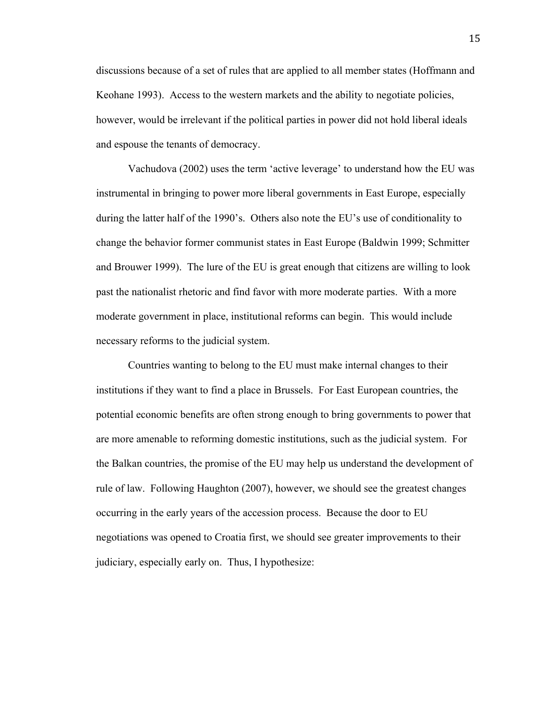discussions because of a set of rules that are applied to all member states (Hoffmann and Keohane 1993). Access to the western markets and the ability to negotiate policies, however, would be irrelevant if the political parties in power did not hold liberal ideals and espouse the tenants of democracy.

Vachudova (2002) uses the term 'active leverage' to understand how the EU was instrumental in bringing to power more liberal governments in East Europe, especially during the latter half of the 1990's. Others also note the EU's use of conditionality to change the behavior former communist states in East Europe (Baldwin 1999; Schmitter and Brouwer 1999). The lure of the EU is great enough that citizens are willing to look past the nationalist rhetoric and find favor with more moderate parties. With a more moderate government in place, institutional reforms can begin. This would include necessary reforms to the judicial system.

Countries wanting to belong to the EU must make internal changes to their institutions if they want to find a place in Brussels. For East European countries, the potential economic benefits are often strong enough to bring governments to power that are more amenable to reforming domestic institutions, such as the judicial system. For the Balkan countries, the promise of the EU may help us understand the development of rule of law. Following Haughton (2007), however, we should see the greatest changes occurring in the early years of the accession process. Because the door to EU negotiations was opened to Croatia first, we should see greater improvements to their judiciary, especially early on. Thus, I hypothesize: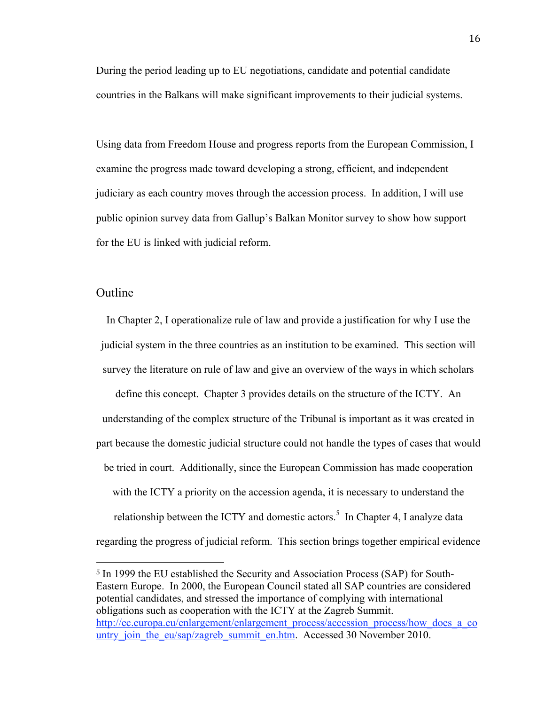During the period leading up to EU negotiations, candidate and potential candidate countries in the Balkans will make significant improvements to their judicial systems.

Using data from Freedom House and progress reports from the European Commission, I examine the progress made toward developing a strong, efficient, and independent judiciary as each country moves through the accession process. In addition, I will use public opinion survey data from Gallup's Balkan Monitor survey to show how support for the EU is linked with judicial reform.

### Outline

In Chapter 2, I operationalize rule of law and provide a justification for why I use the judicial system in the three countries as an institution to be examined. This section will survey the literature on rule of law and give an overview of the ways in which scholars

define this concept. Chapter 3 provides details on the structure of the ICTY. An understanding of the complex structure of the Tribunal is important as it was created in part because the domestic judicial structure could not handle the types of cases that would be tried in court. Additionally, since the European Commission has made cooperation with the ICTY a priority on the accession agenda, it is necessary to understand the relationship between the ICTY and domestic actors.<sup>5</sup> In Chapter 4, I analyze data regarding the progress of judicial reform. This section brings together empirical evidence

<sup>5</sup> In 1999 the EU established the Security and Association Process (SAP) for South-Eastern Europe. In 2000, the European Council stated all SAP countries are considered potential candidates, and stressed the importance of complying with international obligations such as cooperation with the ICTY at the Zagreb Summit. http://ec.europa.eu/enlargement/enlargement\_process/accession\_process/how\_does\_a\_co untry join the eu/sap/zagreb\_summit\_en.htm. Accessed 30 November 2010.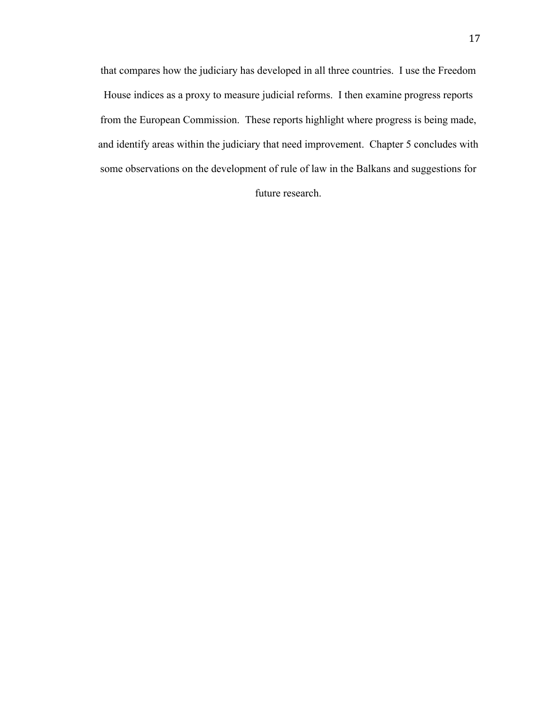that compares how the judiciary has developed in all three countries. I use the Freedom House indices as a proxy to measure judicial reforms. I then examine progress reports from the European Commission. These reports highlight where progress is being made, and identify areas within the judiciary that need improvement. Chapter 5 concludes with some observations on the development of rule of law in the Balkans and suggestions for

future research.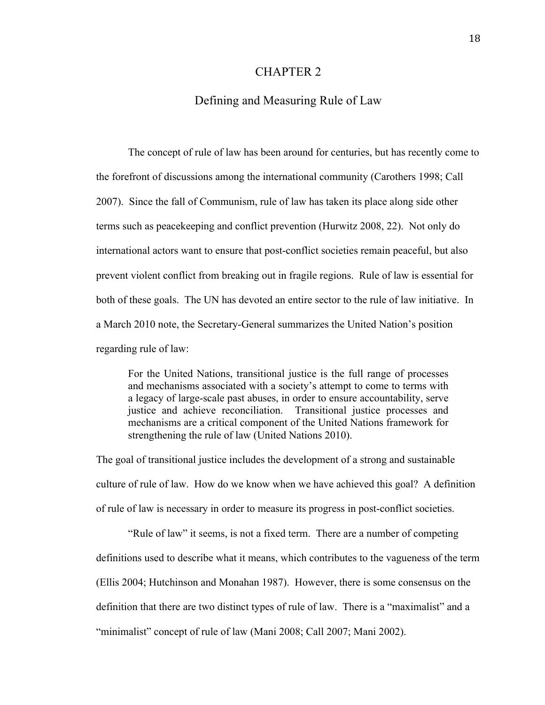#### CHAPTER 2

#### Defining and Measuring Rule of Law

The concept of rule of law has been around for centuries, but has recently come to the forefront of discussions among the international community (Carothers 1998; Call 2007). Since the fall of Communism, rule of law has taken its place along side other terms such as peacekeeping and conflict prevention (Hurwitz 2008, 22). Not only do international actors want to ensure that post-conflict societies remain peaceful, but also prevent violent conflict from breaking out in fragile regions. Rule of law is essential for both of these goals. The UN has devoted an entire sector to the rule of law initiative. In a March 2010 note, the Secretary-General summarizes the United Nation's position regarding rule of law:

For the United Nations, transitional justice is the full range of processes and mechanisms associated with a society's attempt to come to terms with a legacy of large-scale past abuses, in order to ensure accountability, serve justice and achieve reconciliation. Transitional justice processes and mechanisms are a critical component of the United Nations framework for strengthening the rule of law (United Nations 2010).

The goal of transitional justice includes the development of a strong and sustainable culture of rule of law. How do we know when we have achieved this goal? A definition of rule of law is necessary in order to measure its progress in post-conflict societies.

"Rule of law" it seems, is not a fixed term. There are a number of competing definitions used to describe what it means, which contributes to the vagueness of the term (Ellis 2004; Hutchinson and Monahan 1987). However, there is some consensus on the definition that there are two distinct types of rule of law. There is a "maximalist" and a "minimalist" concept of rule of law (Mani 2008; Call 2007; Mani 2002).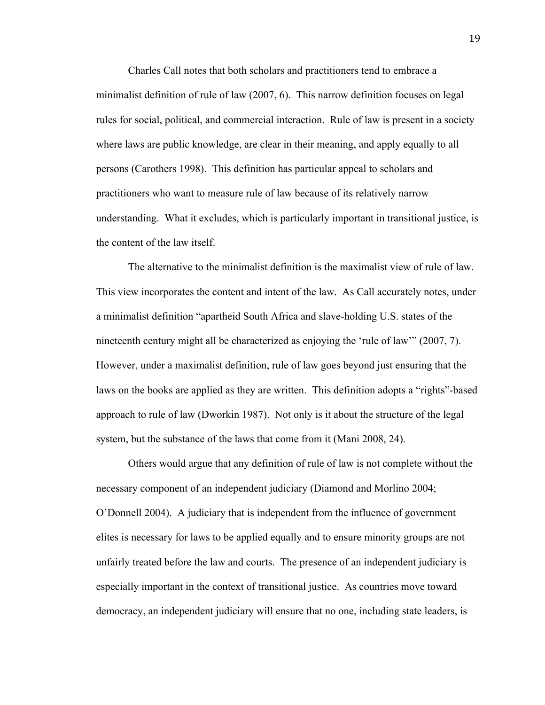Charles Call notes that both scholars and practitioners tend to embrace a minimalist definition of rule of law (2007, 6). This narrow definition focuses on legal rules for social, political, and commercial interaction. Rule of law is present in a society where laws are public knowledge, are clear in their meaning, and apply equally to all persons (Carothers 1998). This definition has particular appeal to scholars and practitioners who want to measure rule of law because of its relatively narrow understanding. What it excludes, which is particularly important in transitional justice, is the content of the law itself.

The alternative to the minimalist definition is the maximalist view of rule of law. This view incorporates the content and intent of the law. As Call accurately notes, under a minimalist definition "apartheid South Africa and slave-holding U.S. states of the nineteenth century might all be characterized as enjoying the 'rule of law'" (2007, 7). However, under a maximalist definition, rule of law goes beyond just ensuring that the laws on the books are applied as they are written. This definition adopts a "rights"-based approach to rule of law (Dworkin 1987). Not only is it about the structure of the legal system, but the substance of the laws that come from it (Mani 2008, 24).

Others would argue that any definition of rule of law is not complete without the necessary component of an independent judiciary (Diamond and Morlino 2004; O'Donnell 2004). A judiciary that is independent from the influence of government elites is necessary for laws to be applied equally and to ensure minority groups are not unfairly treated before the law and courts. The presence of an independent judiciary is especially important in the context of transitional justice. As countries move toward democracy, an independent judiciary will ensure that no one, including state leaders, is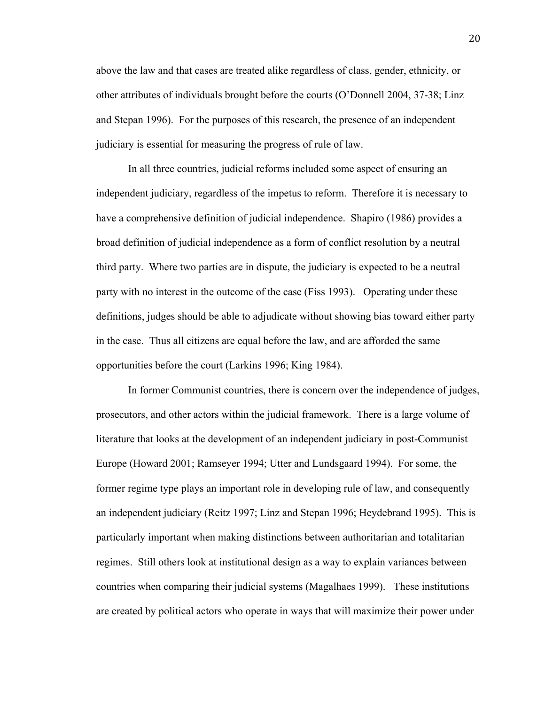above the law and that cases are treated alike regardless of class, gender, ethnicity, or other attributes of individuals brought before the courts (O'Donnell 2004, 37-38; Linz and Stepan 1996). For the purposes of this research, the presence of an independent judiciary is essential for measuring the progress of rule of law.

In all three countries, judicial reforms included some aspect of ensuring an independent judiciary, regardless of the impetus to reform. Therefore it is necessary to have a comprehensive definition of judicial independence. Shapiro (1986) provides a broad definition of judicial independence as a form of conflict resolution by a neutral third party. Where two parties are in dispute, the judiciary is expected to be a neutral party with no interest in the outcome of the case (Fiss 1993). Operating under these definitions, judges should be able to adjudicate without showing bias toward either party in the case. Thus all citizens are equal before the law, and are afforded the same opportunities before the court (Larkins 1996; King 1984).

In former Communist countries, there is concern over the independence of judges, prosecutors, and other actors within the judicial framework. There is a large volume of literature that looks at the development of an independent judiciary in post-Communist Europe (Howard 2001; Ramseyer 1994; Utter and Lundsgaard 1994). For some, the former regime type plays an important role in developing rule of law, and consequently an independent judiciary (Reitz 1997; Linz and Stepan 1996; Heydebrand 1995). This is particularly important when making distinctions between authoritarian and totalitarian regimes. Still others look at institutional design as a way to explain variances between countries when comparing their judicial systems (Magalhaes 1999). These institutions are created by political actors who operate in ways that will maximize their power under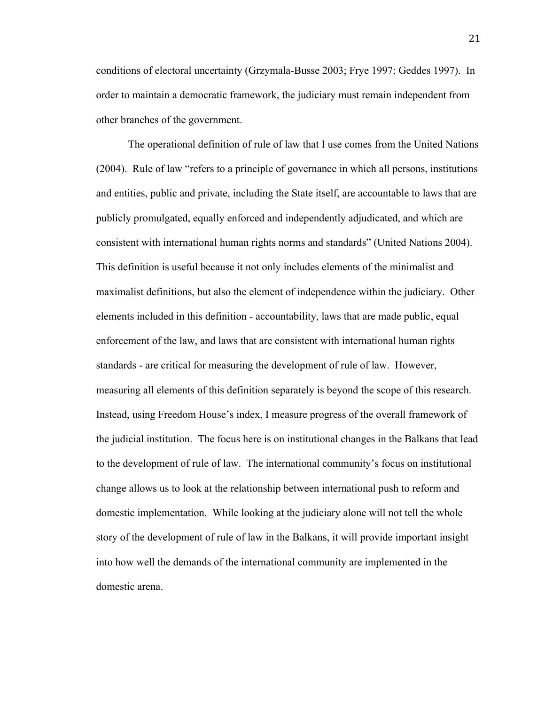conditions of electoral uncertainty (Grzymala-Busse 2003; Frye 1997; Geddes 1997). In order to maintain a democratic framework, the judiciary must remain independent from other branches of the government.

The operational definition of rule of law that I use comes from the United Nations (2004). Rule of law "refers to a principle of governance in which all persons, institutions and entities, public and private, including the State itself, are accountable to laws that are publicly promulgated, equally enforced and independently adjudicated, and which are consistent with international human rights norms and standards" (United Nations 2004). This definition is useful because it not only includes elements of the minimalist and maximalist definitions, but also the element of independence within the judiciary. Other elements included in this definition - accountability, laws that are made public, equal enforcement of the law, and laws that are consistent with international human rights standards - are critical for measuring the development of rule of law. However, measuring all elements of this definition separately is beyond the scope of this research. Instead, using Freedom House's index, I measure progress of the overall framework of the judicial institution. The focus here is on institutional changes in the Balkans that lead to the development of rule of law. The international community's focus on institutional change allows us to look at the relationship between international push to reform and domestic implementation. While looking at the judiciary alone will not tell the whole story of the development of rule of law in the Balkans, it will provide important insight into how well the demands of the international community are implemented in the domestic arena.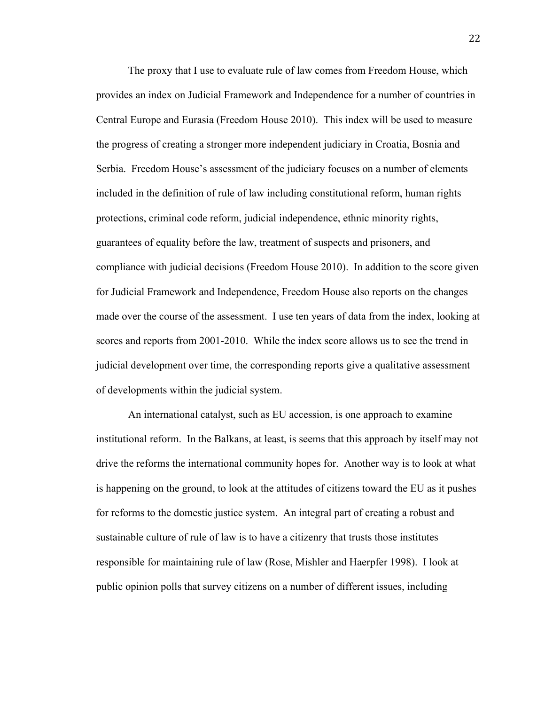The proxy that I use to evaluate rule of law comes from Freedom House, which provides an index on Judicial Framework and Independence for a number of countries in Central Europe and Eurasia (Freedom House 2010). This index will be used to measure the progress of creating a stronger more independent judiciary in Croatia, Bosnia and Serbia. Freedom House's assessment of the judiciary focuses on a number of elements included in the definition of rule of law including constitutional reform, human rights protections, criminal code reform, judicial independence, ethnic minority rights, guarantees of equality before the law, treatment of suspects and prisoners, and compliance with judicial decisions (Freedom House 2010). In addition to the score given for Judicial Framework and Independence, Freedom House also reports on the changes made over the course of the assessment. I use ten years of data from the index, looking at scores and reports from 2001-2010. While the index score allows us to see the trend in judicial development over time, the corresponding reports give a qualitative assessment of developments within the judicial system.

An international catalyst, such as EU accession, is one approach to examine institutional reform. In the Balkans, at least, is seems that this approach by itself may not drive the reforms the international community hopes for. Another way is to look at what is happening on the ground, to look at the attitudes of citizens toward the EU as it pushes for reforms to the domestic justice system. An integral part of creating a robust and sustainable culture of rule of law is to have a citizenry that trusts those institutes responsible for maintaining rule of law (Rose, Mishler and Haerpfer 1998). I look at public opinion polls that survey citizens on a number of different issues, including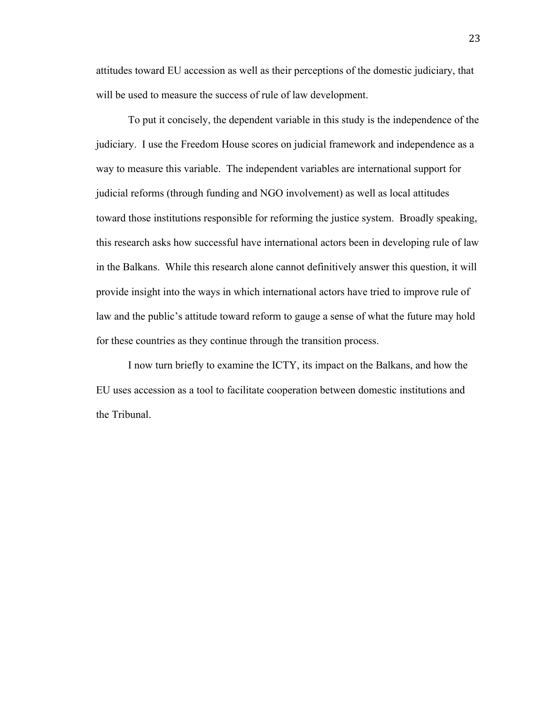attitudes toward EU accession as well as their perceptions of the domestic judiciary, that will be used to measure the success of rule of law development.

To put it concisely, the dependent variable in this study is the independence of the judiciary. I use the Freedom House scores on judicial framework and independence as a way to measure this variable. The independent variables are international support for judicial reforms (through funding and NGO involvement) as well as local attitudes toward those institutions responsible for reforming the justice system. Broadly speaking, this research asks how successful have international actors been in developing rule of law in the Balkans. While this research alone cannot definitively answer this question, it will provide insight into the ways in which international actors have tried to improve rule of law and the public's attitude toward reform to gauge a sense of what the future may hold for these countries as they continue through the transition process.

I now turn briefly to examine the ICTY, its impact on the Balkans, and how the EU uses accession as a tool to facilitate cooperation between domestic institutions and the Tribunal.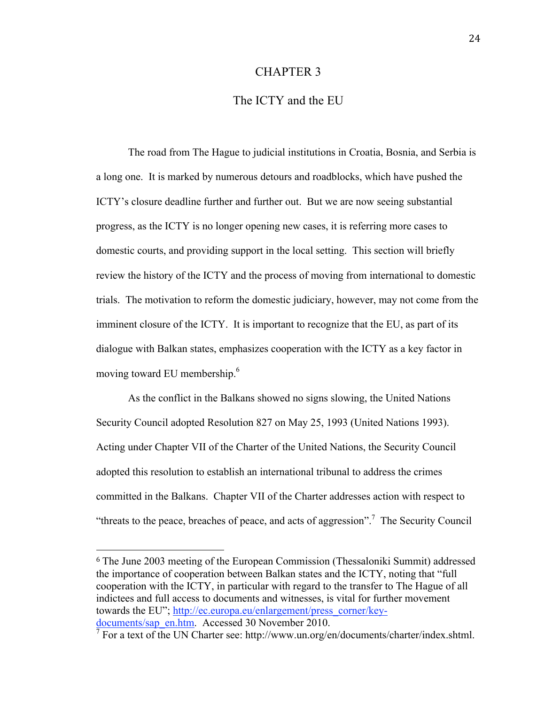#### CHAPTER 3

## The ICTY and the EU

The road from The Hague to judicial institutions in Croatia, Bosnia, and Serbia is a long one. It is marked by numerous detours and roadblocks, which have pushed the ICTY's closure deadline further and further out. But we are now seeing substantial progress, as the ICTY is no longer opening new cases, it is referring more cases to domestic courts, and providing support in the local setting. This section will briefly review the history of the ICTY and the process of moving from international to domestic trials. The motivation to reform the domestic judiciary, however, may not come from the imminent closure of the ICTY. It is important to recognize that the EU, as part of its dialogue with Balkan states, emphasizes cooperation with the ICTY as a key factor in moving toward EU membership.<sup>6</sup>

As the conflict in the Balkans showed no signs slowing, the United Nations Security Council adopted Resolution 827 on May 25, 1993 (United Nations 1993). Acting under Chapter VII of the Charter of the United Nations, the Security Council adopted this resolution to establish an international tribunal to address the crimes committed in the Balkans. Chapter VII of the Charter addresses action with respect to "threats to the peace, breaches of peace, and acts of aggression".<sup>7</sup> The Security Council

<sup>6</sup> The June 2003 meeting of the European Commission (Thessaloniki Summit) addressed the importance of cooperation between Balkan states and the ICTY, noting that "full cooperation with the ICTY, in particular with regard to the transfer to The Hague of all indictees and full access to documents and witnesses, is vital for further movement towards the EU"; http://ec.europa.eu/enlargement/press\_corner/keydocuments/sap\_en.htm. Accessed 30 November 2010.

 $\sqrt{7}$  For a text of the UN Charter see: http://www.un.org/en/documents/charter/index.shtml.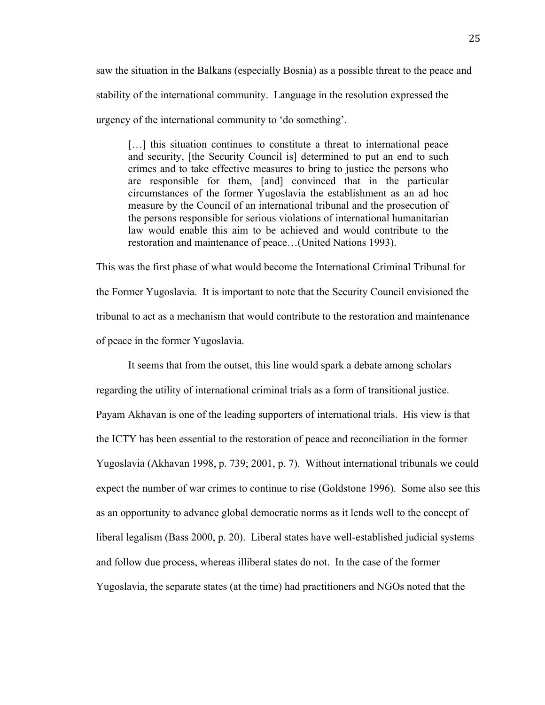saw the situation in the Balkans (especially Bosnia) as a possible threat to the peace and stability of the international community. Language in the resolution expressed the urgency of the international community to 'do something'.

[...] this situation continues to constitute a threat to international peace and security, [the Security Council is] determined to put an end to such crimes and to take effective measures to bring to justice the persons who are responsible for them, [and] convinced that in the particular circumstances of the former Yugoslavia the establishment as an ad hoc measure by the Council of an international tribunal and the prosecution of the persons responsible for serious violations of international humanitarian law would enable this aim to be achieved and would contribute to the restoration and maintenance of peace…(United Nations 1993).

This was the first phase of what would become the International Criminal Tribunal for the Former Yugoslavia. It is important to note that the Security Council envisioned the tribunal to act as a mechanism that would contribute to the restoration and maintenance of peace in the former Yugoslavia.

It seems that from the outset, this line would spark a debate among scholars regarding the utility of international criminal trials as a form of transitional justice. Payam Akhavan is one of the leading supporters of international trials. His view is that the ICTY has been essential to the restoration of peace and reconciliation in the former Yugoslavia (Akhavan 1998, p. 739; 2001, p. 7). Without international tribunals we could expect the number of war crimes to continue to rise (Goldstone 1996). Some also see this as an opportunity to advance global democratic norms as it lends well to the concept of liberal legalism (Bass 2000, p. 20). Liberal states have well-established judicial systems and follow due process, whereas illiberal states do not. In the case of the former Yugoslavia, the separate states (at the time) had practitioners and NGOs noted that the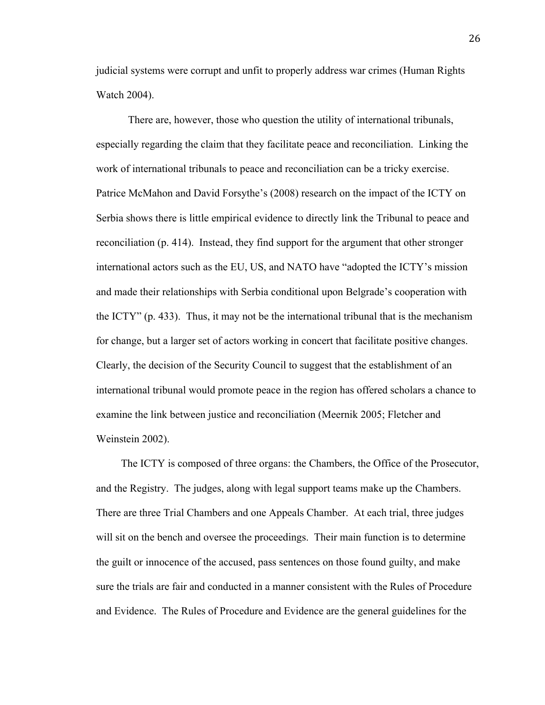judicial systems were corrupt and unfit to properly address war crimes (Human Rights Watch 2004).

There are, however, those who question the utility of international tribunals, especially regarding the claim that they facilitate peace and reconciliation. Linking the work of international tribunals to peace and reconciliation can be a tricky exercise. Patrice McMahon and David Forsythe's (2008) research on the impact of the ICTY on Serbia shows there is little empirical evidence to directly link the Tribunal to peace and reconciliation (p. 414). Instead, they find support for the argument that other stronger international actors such as the EU, US, and NATO have "adopted the ICTY's mission and made their relationships with Serbia conditional upon Belgrade's cooperation with the ICTY" (p. 433). Thus, it may not be the international tribunal that is the mechanism for change, but a larger set of actors working in concert that facilitate positive changes. Clearly, the decision of the Security Council to suggest that the establishment of an international tribunal would promote peace in the region has offered scholars a chance to examine the link between justice and reconciliation (Meernik 2005; Fletcher and Weinstein 2002).

The ICTY is composed of three organs: the Chambers, the Office of the Prosecutor, and the Registry. The judges, along with legal support teams make up the Chambers. There are three Trial Chambers and one Appeals Chamber. At each trial, three judges will sit on the bench and oversee the proceedings. Their main function is to determine the guilt or innocence of the accused, pass sentences on those found guilty, and make sure the trials are fair and conducted in a manner consistent with the Rules of Procedure and Evidence. The Rules of Procedure and Evidence are the general guidelines for the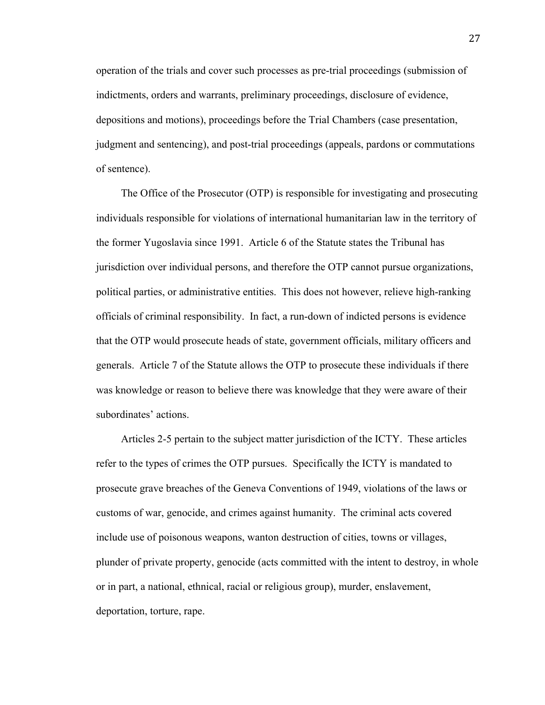operation of the trials and cover such processes as pre-trial proceedings (submission of indictments, orders and warrants, preliminary proceedings, disclosure of evidence, depositions and motions), proceedings before the Trial Chambers (case presentation, judgment and sentencing), and post-trial proceedings (appeals, pardons or commutations of sentence).

The Office of the Prosecutor (OTP) is responsible for investigating and prosecuting individuals responsible for violations of international humanitarian law in the territory of the former Yugoslavia since 1991. Article 6 of the Statute states the Tribunal has jurisdiction over individual persons, and therefore the OTP cannot pursue organizations, political parties, or administrative entities. This does not however, relieve high-ranking officials of criminal responsibility. In fact, a run-down of indicted persons is evidence that the OTP would prosecute heads of state, government officials, military officers and generals. Article 7 of the Statute allows the OTP to prosecute these individuals if there was knowledge or reason to believe there was knowledge that they were aware of their subordinates' actions.

Articles 2-5 pertain to the subject matter jurisdiction of the ICTY. These articles refer to the types of crimes the OTP pursues. Specifically the ICTY is mandated to prosecute grave breaches of the Geneva Conventions of 1949, violations of the laws or customs of war, genocide, and crimes against humanity. The criminal acts covered include use of poisonous weapons, wanton destruction of cities, towns or villages, plunder of private property, genocide (acts committed with the intent to destroy, in whole or in part, a national, ethnical, racial or religious group), murder, enslavement, deportation, torture, rape.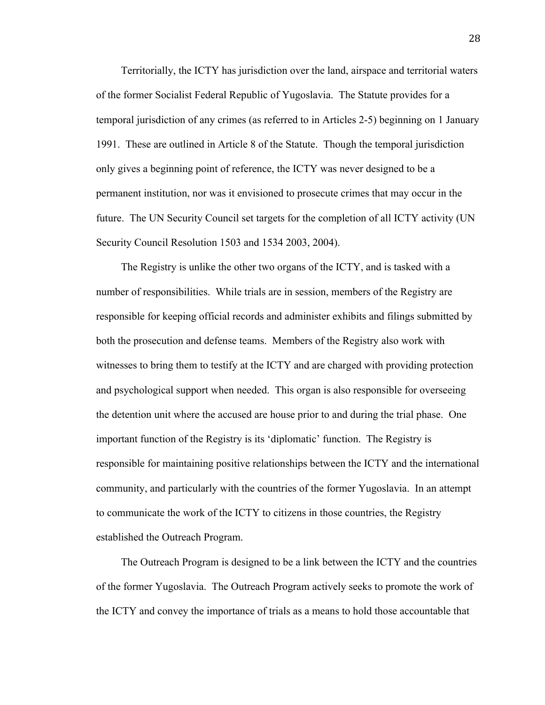Territorially, the ICTY has jurisdiction over the land, airspace and territorial waters of the former Socialist Federal Republic of Yugoslavia. The Statute provides for a temporal jurisdiction of any crimes (as referred to in Articles 2-5) beginning on 1 January 1991. These are outlined in Article 8 of the Statute. Though the temporal jurisdiction only gives a beginning point of reference, the ICTY was never designed to be a permanent institution, nor was it envisioned to prosecute crimes that may occur in the future. The UN Security Council set targets for the completion of all ICTY activity (UN Security Council Resolution 1503 and 1534 2003, 2004).

The Registry is unlike the other two organs of the ICTY, and is tasked with a number of responsibilities. While trials are in session, members of the Registry are responsible for keeping official records and administer exhibits and filings submitted by both the prosecution and defense teams. Members of the Registry also work with witnesses to bring them to testify at the ICTY and are charged with providing protection and psychological support when needed. This organ is also responsible for overseeing the detention unit where the accused are house prior to and during the trial phase. One important function of the Registry is its 'diplomatic' function. The Registry is responsible for maintaining positive relationships between the ICTY and the international community, and particularly with the countries of the former Yugoslavia. In an attempt to communicate the work of the ICTY to citizens in those countries, the Registry established the Outreach Program.

The Outreach Program is designed to be a link between the ICTY and the countries of the former Yugoslavia. The Outreach Program actively seeks to promote the work of the ICTY and convey the importance of trials as a means to hold those accountable that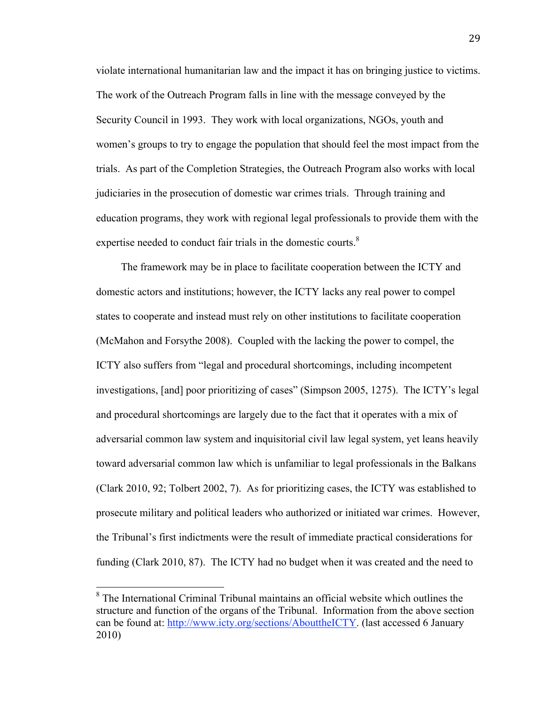violate international humanitarian law and the impact it has on bringing justice to victims. The work of the Outreach Program falls in line with the message conveyed by the Security Council in 1993. They work with local organizations, NGOs, youth and women's groups to try to engage the population that should feel the most impact from the trials. As part of the Completion Strategies, the Outreach Program also works with local judiciaries in the prosecution of domestic war crimes trials. Through training and education programs, they work with regional legal professionals to provide them with the expertise needed to conduct fair trials in the domestic courts.<sup>8</sup>

The framework may be in place to facilitate cooperation between the ICTY and domestic actors and institutions; however, the ICTY lacks any real power to compel states to cooperate and instead must rely on other institutions to facilitate cooperation (McMahon and Forsythe 2008). Coupled with the lacking the power to compel, the ICTY also suffers from "legal and procedural shortcomings, including incompetent investigations, [and] poor prioritizing of cases" (Simpson 2005, 1275). The ICTY's legal and procedural shortcomings are largely due to the fact that it operates with a mix of adversarial common law system and inquisitorial civil law legal system, yet leans heavily toward adversarial common law which is unfamiliar to legal professionals in the Balkans (Clark 2010, 92; Tolbert 2002, 7). As for prioritizing cases, the ICTY was established to prosecute military and political leaders who authorized or initiated war crimes. However, the Tribunal's first indictments were the result of immediate practical considerations for funding (Clark 2010, 87). The ICTY had no budget when it was created and the need to

<sup>&</sup>lt;sup>8</sup> The International Criminal Tribunal maintains an official website which outlines the structure and function of the organs of the Tribunal. Information from the above section can be found at: http://www.icty.org/sections/AbouttheICTY. (last accessed 6 January 2010)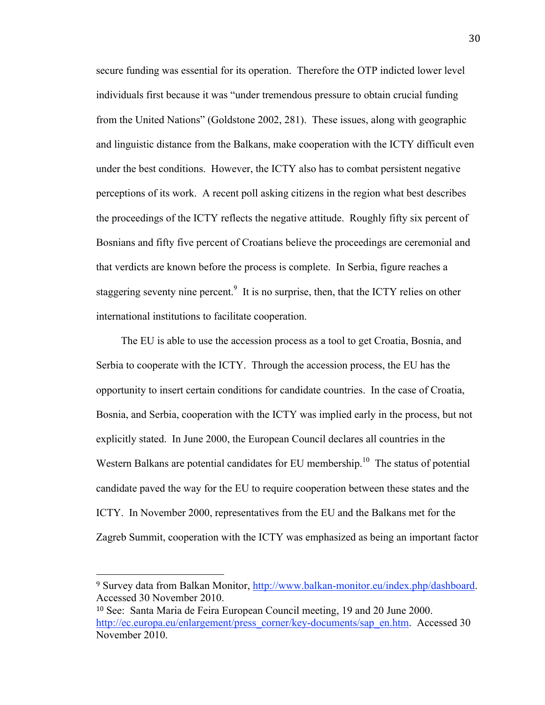secure funding was essential for its operation. Therefore the OTP indicted lower level individuals first because it was "under tremendous pressure to obtain crucial funding from the United Nations" (Goldstone 2002, 281). These issues, along with geographic and linguistic distance from the Balkans, make cooperation with the ICTY difficult even under the best conditions. However, the ICTY also has to combat persistent negative perceptions of its work. A recent poll asking citizens in the region what best describes the proceedings of the ICTY reflects the negative attitude. Roughly fifty six percent of Bosnians and fifty five percent of Croatians believe the proceedings are ceremonial and that verdicts are known before the process is complete. In Serbia, figure reaches a staggering seventy nine percent.<sup>9</sup> It is no surprise, then, that the ICTY relies on other international institutions to facilitate cooperation.

The EU is able to use the accession process as a tool to get Croatia, Bosnia, and Serbia to cooperate with the ICTY. Through the accession process, the EU has the opportunity to insert certain conditions for candidate countries. In the case of Croatia, Bosnia, and Serbia, cooperation with the ICTY was implied early in the process, but not explicitly stated. In June 2000, the European Council declares all countries in the Western Balkans are potential candidates for EU membership.<sup>10</sup> The status of potential candidate paved the way for the EU to require cooperation between these states and the ICTY. In November 2000, representatives from the EU and the Balkans met for the Zagreb Summit, cooperation with the ICTY was emphasized as being an important factor

<sup>9</sup> Survey data from Balkan Monitor, http://www.balkan-monitor.eu/index.php/dashboard. Accessed 30 November 2010.

<sup>10</sup> See: Santa Maria de Feira European Council meeting, 19 and 20 June 2000. http://ec.europa.eu/enlargement/press\_corner/key-documents/sap\_en.htm. Accessed 30 November 2010.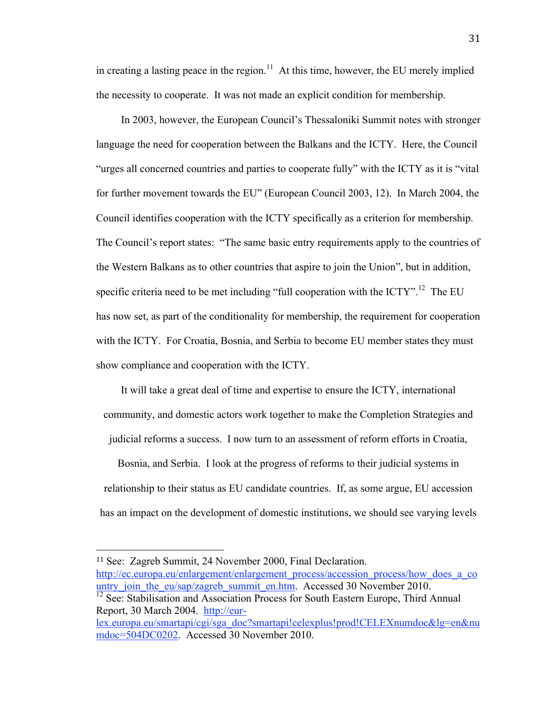in creating a lasting peace in the region.<sup>11</sup> At this time, however, the EU merely implied the necessity to cooperate. It was not made an explicit condition for membership.

In 2003, however, the European Council's Thessaloniki Summit notes with stronger language the need for cooperation between the Balkans and the ICTY. Here, the Council "urges all concerned countries and parties to cooperate fully" with the ICTY as it is "vital for further movement towards the EU" (European Council 2003, 12). In March 2004, the Council identifies cooperation with the ICTY specifically as a criterion for membership. The Council's report states: "The same basic entry requirements apply to the countries of the Western Balkans as to other countries that aspire to join the Union", but in addition, specific criteria need to be met including "full cooperation with the ICTY".<sup>12</sup> The EU has now set, as part of the conditionality for membership, the requirement for cooperation with the ICTY. For Croatia, Bosnia, and Serbia to become EU member states they must show compliance and cooperation with the ICTY.

It will take a great deal of time and expertise to ensure the ICTY, international community, and domestic actors work together to make the Completion Strategies and judicial reforms a success. I now turn to an assessment of reform efforts in Croatia,

Bosnia, and Serbia. I look at the progress of reforms to their judicial systems in relationship to their status as EU candidate countries. If, as some argue, EU accession has an impact on the development of domestic institutions, we should see varying levels

<sup>11</sup> See: Zagreb Summit, 24 November 2000, Final Declaration.

http://ec.europa.eu/enlargement/enlargement\_process/accession\_process/how\_does\_a\_co untry\_join\_the\_eu/sap/zagreb\_summit\_en.htm. Accessed 30 November 2010.

<sup>12</sup> See: Stabilisation and Association Process for South Eastern Europe, Third Annual Report, 30 March 2004. http://eur-

lex.europa.eu/smartapi/cgi/sga\_doc?smartapi!celexplus!prod!CELEXnumdoc&lg=en&nu mdoc=504DC0202. Accessed 30 November 2010.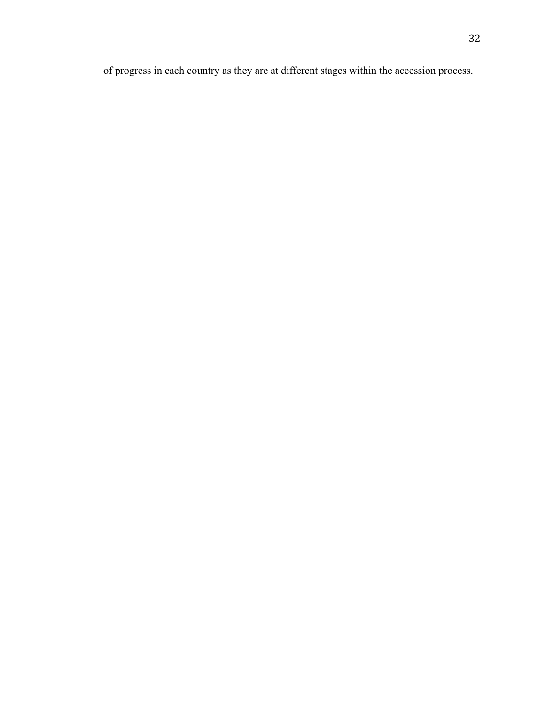of progress in each country as they are at different stages within the accession process.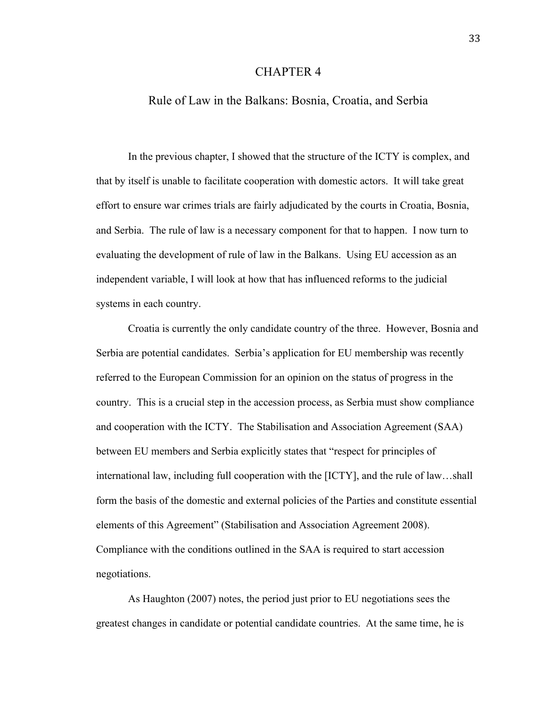#### CHAPTER 4

#### Rule of Law in the Balkans: Bosnia, Croatia, and Serbia

In the previous chapter, I showed that the structure of the ICTY is complex, and that by itself is unable to facilitate cooperation with domestic actors. It will take great effort to ensure war crimes trials are fairly adjudicated by the courts in Croatia, Bosnia, and Serbia. The rule of law is a necessary component for that to happen. I now turn to evaluating the development of rule of law in the Balkans. Using EU accession as an independent variable, I will look at how that has influenced reforms to the judicial systems in each country.

Croatia is currently the only candidate country of the three. However, Bosnia and Serbia are potential candidates. Serbia's application for EU membership was recently referred to the European Commission for an opinion on the status of progress in the country. This is a crucial step in the accession process, as Serbia must show compliance and cooperation with the ICTY. The Stabilisation and Association Agreement (SAA) between EU members and Serbia explicitly states that "respect for principles of international law, including full cooperation with the [ICTY], and the rule of law…shall form the basis of the domestic and external policies of the Parties and constitute essential elements of this Agreement" (Stabilisation and Association Agreement 2008). Compliance with the conditions outlined in the SAA is required to start accession negotiations.

As Haughton (2007) notes, the period just prior to EU negotiations sees the greatest changes in candidate or potential candidate countries. At the same time, he is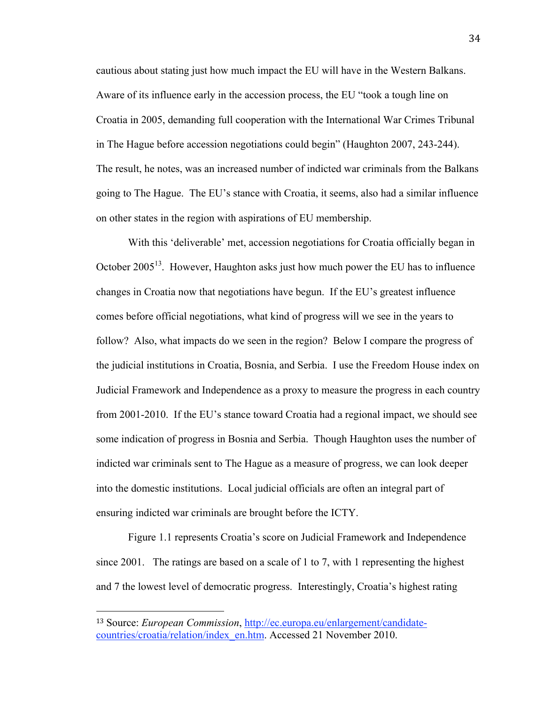cautious about stating just how much impact the EU will have in the Western Balkans. Aware of its influence early in the accession process, the EU "took a tough line on Croatia in 2005, demanding full cooperation with the International War Crimes Tribunal in The Hague before accession negotiations could begin" (Haughton 2007, 243-244). The result, he notes, was an increased number of indicted war criminals from the Balkans going to The Hague. The EU's stance with Croatia, it seems, also had a similar influence on other states in the region with aspirations of EU membership.

With this 'deliverable' met, accession negotiations for Croatia officially began in October 2005<sup>13</sup>. However, Haughton asks just how much power the EU has to influence changes in Croatia now that negotiations have begun. If the EU's greatest influence comes before official negotiations, what kind of progress will we see in the years to follow? Also, what impacts do we seen in the region? Below I compare the progress of the judicial institutions in Croatia, Bosnia, and Serbia. I use the Freedom House index on Judicial Framework and Independence as a proxy to measure the progress in each country from 2001-2010. If the EU's stance toward Croatia had a regional impact, we should see some indication of progress in Bosnia and Serbia. Though Haughton uses the number of indicted war criminals sent to The Hague as a measure of progress, we can look deeper into the domestic institutions. Local judicial officials are often an integral part of ensuring indicted war criminals are brought before the ICTY.

Figure 1.1 represents Croatia's score on Judicial Framework and Independence since 2001. The ratings are based on a scale of 1 to 7, with 1 representing the highest and 7 the lowest level of democratic progress. Interestingly, Croatia's highest rating

<sup>13</sup> Source: *European Commission*, http://ec.europa.eu/enlargement/candidatecountries/croatia/relation/index\_en.htm. Accessed 21 November 2010.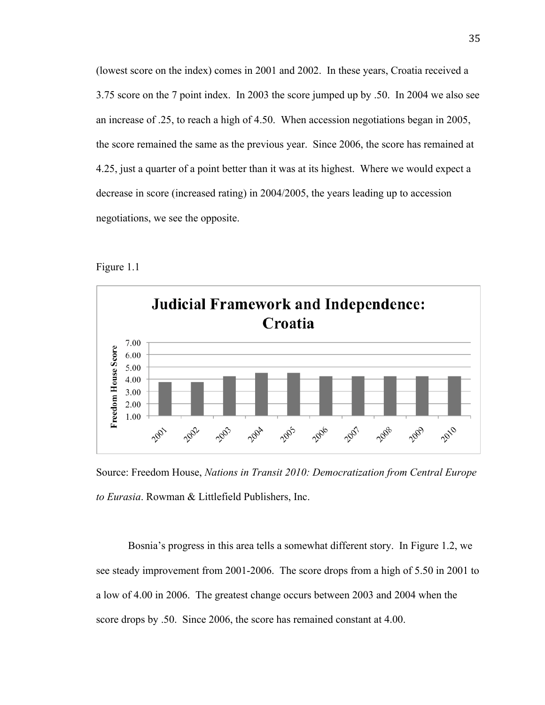(lowest score on the index) comes in 2001 and 2002. In these years, Croatia received a 3.75 score on the 7 point index. In 2003 the score jumped up by .50. In 2004 we also see an increase of .25, to reach a high of 4.50. When accession negotiations began in 2005, the score remained the same as the previous year. Since 2006, the score has remained at 4.25, just a quarter of a point better than it was at its highest. Where we would expect a decrease in score (increased rating) in 2004/2005, the years leading up to accession negotiations, we see the opposite.





Source: Freedom House, *Nations in Transit 2010: Democratization from Central Europe to Eurasia*. Rowman & Littlefield Publishers, Inc.

Bosnia's progress in this area tells a somewhat different story. In Figure 1.2, we see steady improvement from 2001-2006. The score drops from a high of 5.50 in 2001 to a low of 4.00 in 2006. The greatest change occurs between 2003 and 2004 when the score drops by .50. Since 2006, the score has remained constant at 4.00.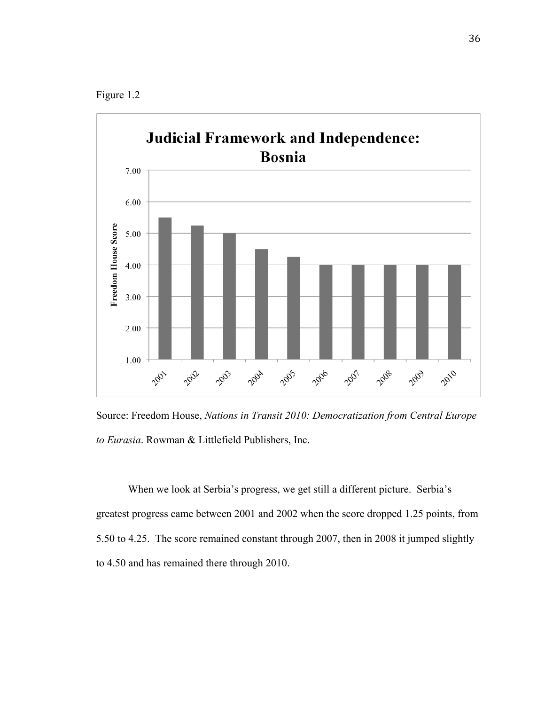



Source: Freedom House, *Nations in Transit 2010: Democratization from Central Europe to Eurasia*. Rowman & Littlefield Publishers, Inc.

When we look at Serbia's progress, we get still a different picture. Serbia's greatest progress came between 2001 and 2002 when the score dropped 1.25 points, from 5.50 to 4.25. The score remained constant through 2007, then in 2008 it jumped slightly to 4.50 and has remained there through 2010.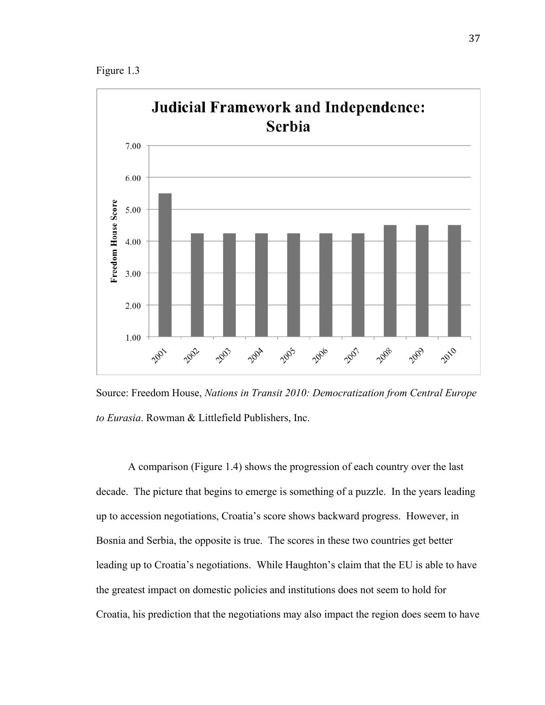Figure 1.3



Source: Freedom House, *Nations in Transit 2010: Democratization from Central Europe to Eurasia*. Rowman & Littlefield Publishers, Inc.

A comparison (Figure 1.4) shows the progression of each country over the last decade. The picture that begins to emerge is something of a puzzle. In the years leading up to accession negotiations, Croatia's score shows backward progress. However, in Bosnia and Serbia, the opposite is true. The scores in these two countries get better leading up to Croatia's negotiations. While Haughton's claim that the EU is able to have the greatest impact on domestic policies and institutions does not seem to hold for Croatia, his prediction that the negotiations may also impact the region does seem to have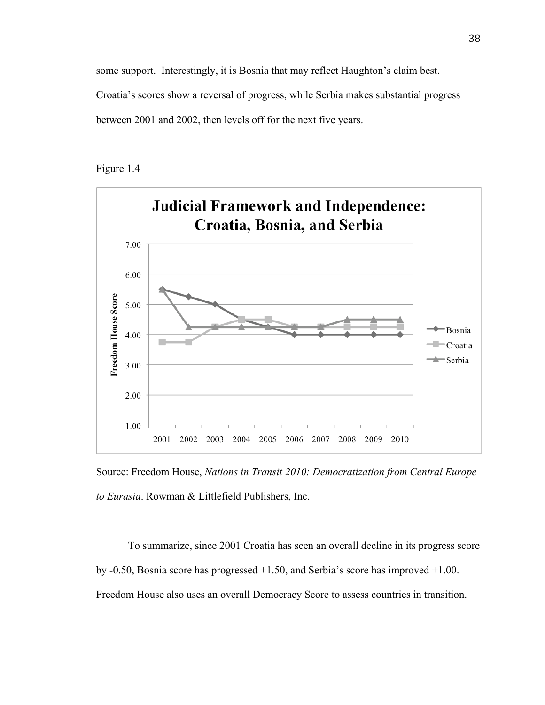some support. Interestingly, it is Bosnia that may reflect Haughton's claim best. Croatia's scores show a reversal of progress, while Serbia makes substantial progress between 2001 and 2002, then levels off for the next five years.





Source: Freedom House, *Nations in Transit 2010: Democratization from Central Europe to Eurasia*. Rowman & Littlefield Publishers, Inc.

To summarize, since 2001 Croatia has seen an overall decline in its progress score by -0.50, Bosnia score has progressed +1.50, and Serbia's score has improved +1.00. Freedom House also uses an overall Democracy Score to assess countries in transition.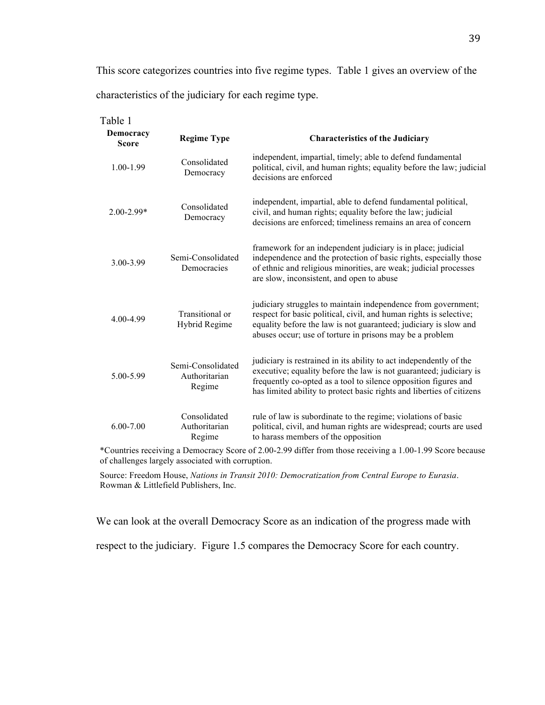This score categorizes countries into five regime types. Table 1 gives an overview of the characteristics of the judiciary for each regime type.

| Table 1<br>Democracy<br><b>Score</b> | <b>Regime Type</b>                           | <b>Characteristics of the Judiciary</b>                                                                                                                                                                                                                                              |
|--------------------------------------|----------------------------------------------|--------------------------------------------------------------------------------------------------------------------------------------------------------------------------------------------------------------------------------------------------------------------------------------|
| 1.00-1.99                            | Consolidated<br>Democracy                    | independent, impartial, timely; able to defend fundamental<br>political, civil, and human rights; equality before the law; judicial<br>decisions are enforced                                                                                                                        |
| $2.00 - 2.99*$                       | Consolidated<br>Democracy                    | independent, impartial, able to defend fundamental political,<br>civil, and human rights; equality before the law; judicial<br>decisions are enforced; timeliness remains an area of concern                                                                                         |
| 3.00-3.99                            | Semi-Consolidated<br>Democracies             | framework for an independent judiciary is in place; judicial<br>independence and the protection of basic rights, especially those<br>of ethnic and religious minorities, are weak; judicial processes<br>are slow, inconsistent, and open to abuse                                   |
| 4.00-4.99                            | Transitional or<br>Hybrid Regime             | judiciary struggles to maintain independence from government;<br>respect for basic political, civil, and human rights is selective;<br>equality before the law is not guaranteed; judiciary is slow and<br>abuses occur; use of torture in prisons may be a problem                  |
| 5.00-5.99                            | Semi-Consolidated<br>Authoritarian<br>Regime | judiciary is restrained in its ability to act independently of the<br>executive; equality before the law is not guaranteed; judiciary is<br>frequently co-opted as a tool to silence opposition figures and<br>has limited ability to protect basic rights and liberties of citizens |
| $6.00 - 7.00$                        | Consolidated<br>Authoritarian<br>Regime      | rule of law is subordinate to the regime; violations of basic<br>political, civil, and human rights are widespread; courts are used<br>to harass members of the opposition                                                                                                           |

\*Countries receiving a Democracy Score of 2.00-2.99 differ from those receiving a 1.00-1.99 Score because of challenges largely associated with corruption.

Source: Freedom House, *Nations in Transit 2010: Democratization from Central Europe to Eurasia*. Rowman & Littlefield Publishers, Inc.

We can look at the overall Democracy Score as an indication of the progress made with

respect to the judiciary. Figure 1.5 compares the Democracy Score for each country.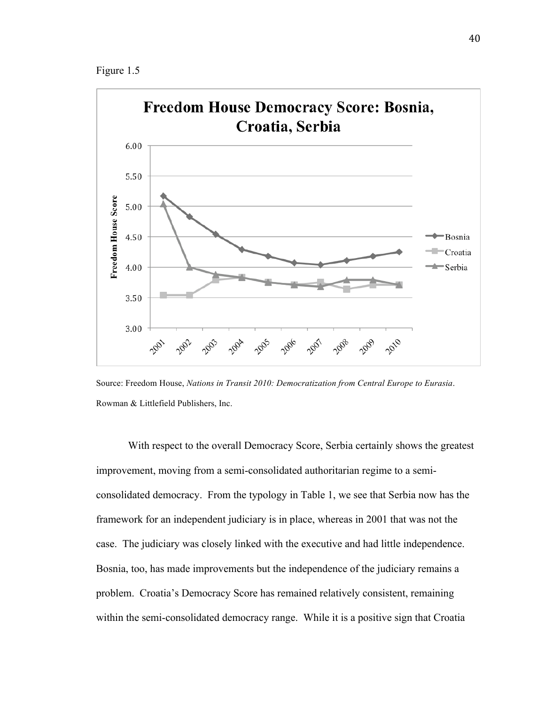Figure 1.5



Source: Freedom House, *Nations in Transit 2010: Democratization from Central Europe to Eurasia*. Rowman & Littlefield Publishers, Inc.

With respect to the overall Democracy Score, Serbia certainly shows the greatest improvement, moving from a semi-consolidated authoritarian regime to a semiconsolidated democracy. From the typology in Table 1, we see that Serbia now has the framework for an independent judiciary is in place, whereas in 2001 that was not the case. The judiciary was closely linked with the executive and had little independence. Bosnia, too, has made improvements but the independence of the judiciary remains a problem. Croatia's Democracy Score has remained relatively consistent, remaining within the semi-consolidated democracy range. While it is a positive sign that Croatia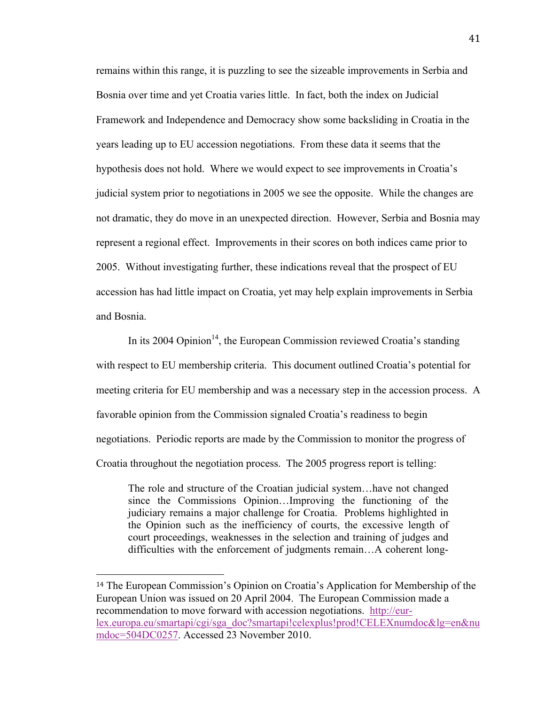remains within this range, it is puzzling to see the sizeable improvements in Serbia and Bosnia over time and yet Croatia varies little. In fact, both the index on Judicial Framework and Independence and Democracy show some backsliding in Croatia in the years leading up to EU accession negotiations. From these data it seems that the hypothesis does not hold. Where we would expect to see improvements in Croatia's judicial system prior to negotiations in 2005 we see the opposite. While the changes are not dramatic, they do move in an unexpected direction. However, Serbia and Bosnia may represent a regional effect. Improvements in their scores on both indices came prior to 2005. Without investigating further, these indications reveal that the prospect of EU accession has had little impact on Croatia, yet may help explain improvements in Serbia and Bosnia.

In its 2004 Opinion<sup>14</sup>, the European Commission reviewed Croatia's standing with respect to EU membership criteria. This document outlined Croatia's potential for meeting criteria for EU membership and was a necessary step in the accession process. A favorable opinion from the Commission signaled Croatia's readiness to begin negotiations. Periodic reports are made by the Commission to monitor the progress of Croatia throughout the negotiation process. The 2005 progress report is telling:

The role and structure of the Croatian judicial system…have not changed since the Commissions Opinion…Improving the functioning of the judiciary remains a major challenge for Croatia. Problems highlighted in the Opinion such as the inefficiency of courts, the excessive length of court proceedings, weaknesses in the selection and training of judges and difficulties with the enforcement of judgments remain…A coherent long-

<sup>14</sup> The European Commission's Opinion on Croatia's Application for Membership of the European Union was issued on 20 April 2004. The European Commission made a recommendation to move forward with accession negotiations. http://eurlex.europa.eu/smartapi/cgi/sga\_doc?smartapi!celexplus!prod!CELEXnumdoc&lg=en&nu mdoc=504DC0257. Accessed 23 November 2010.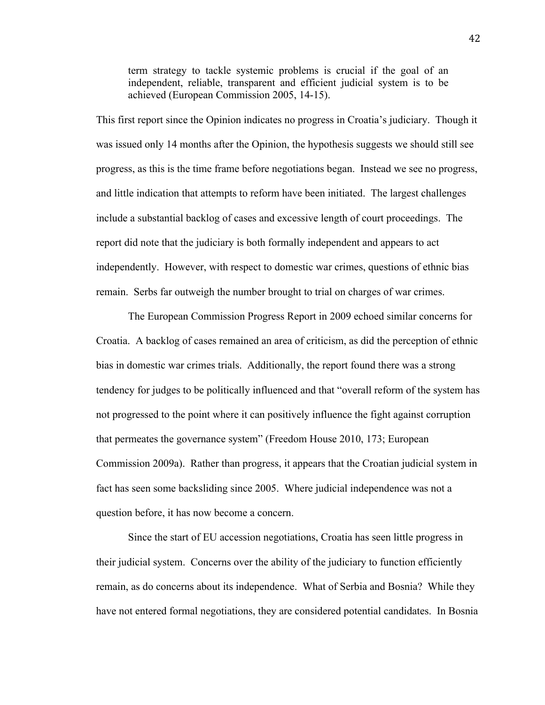term strategy to tackle systemic problems is crucial if the goal of an independent, reliable, transparent and efficient judicial system is to be achieved (European Commission 2005, 14-15).

This first report since the Opinion indicates no progress in Croatia's judiciary. Though it was issued only 14 months after the Opinion, the hypothesis suggests we should still see progress, as this is the time frame before negotiations began. Instead we see no progress, and little indication that attempts to reform have been initiated. The largest challenges include a substantial backlog of cases and excessive length of court proceedings. The report did note that the judiciary is both formally independent and appears to act independently. However, with respect to domestic war crimes, questions of ethnic bias remain. Serbs far outweigh the number brought to trial on charges of war crimes.

The European Commission Progress Report in 2009 echoed similar concerns for Croatia. A backlog of cases remained an area of criticism, as did the perception of ethnic bias in domestic war crimes trials. Additionally, the report found there was a strong tendency for judges to be politically influenced and that "overall reform of the system has not progressed to the point where it can positively influence the fight against corruption that permeates the governance system" (Freedom House 2010, 173; European Commission 2009a). Rather than progress, it appears that the Croatian judicial system in fact has seen some backsliding since 2005. Where judicial independence was not a question before, it has now become a concern.

Since the start of EU accession negotiations, Croatia has seen little progress in their judicial system. Concerns over the ability of the judiciary to function efficiently remain, as do concerns about its independence. What of Serbia and Bosnia? While they have not entered formal negotiations, they are considered potential candidates. In Bosnia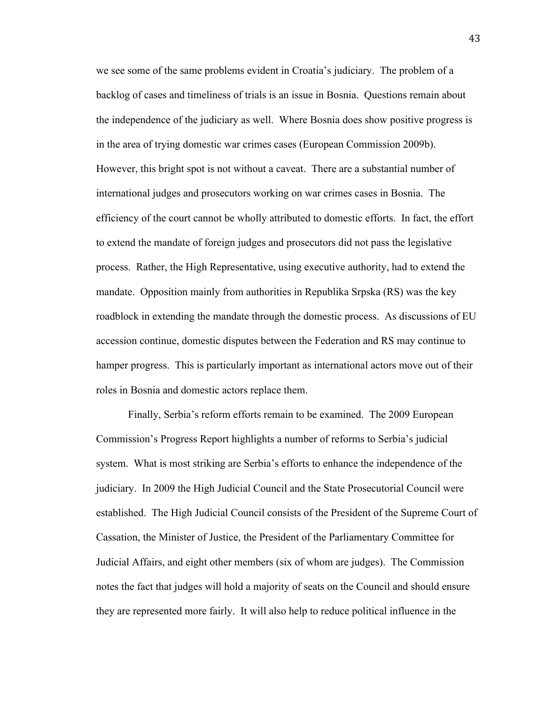we see some of the same problems evident in Croatia's judiciary. The problem of a backlog of cases and timeliness of trials is an issue in Bosnia. Questions remain about the independence of the judiciary as well. Where Bosnia does show positive progress is in the area of trying domestic war crimes cases (European Commission 2009b). However, this bright spot is not without a caveat. There are a substantial number of international judges and prosecutors working on war crimes cases in Bosnia. The efficiency of the court cannot be wholly attributed to domestic efforts. In fact, the effort to extend the mandate of foreign judges and prosecutors did not pass the legislative process. Rather, the High Representative, using executive authority, had to extend the mandate. Opposition mainly from authorities in Republika Srpska (RS) was the key roadblock in extending the mandate through the domestic process. As discussions of EU accession continue, domestic disputes between the Federation and RS may continue to hamper progress. This is particularly important as international actors move out of their roles in Bosnia and domestic actors replace them.

Finally, Serbia's reform efforts remain to be examined. The 2009 European Commission's Progress Report highlights a number of reforms to Serbia's judicial system. What is most striking are Serbia's efforts to enhance the independence of the judiciary. In 2009 the High Judicial Council and the State Prosecutorial Council were established. The High Judicial Council consists of the President of the Supreme Court of Cassation, the Minister of Justice, the President of the Parliamentary Committee for Judicial Affairs, and eight other members (six of whom are judges). The Commission notes the fact that judges will hold a majority of seats on the Council and should ensure they are represented more fairly. It will also help to reduce political influence in the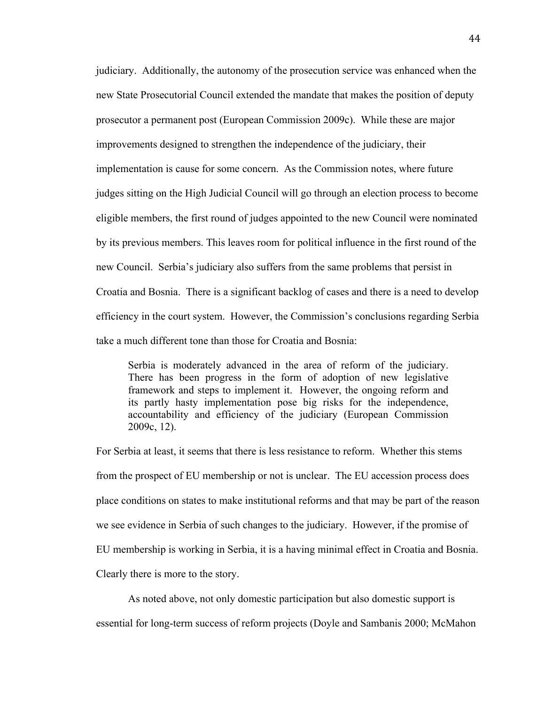judiciary. Additionally, the autonomy of the prosecution service was enhanced when the new State Prosecutorial Council extended the mandate that makes the position of deputy prosecutor a permanent post (European Commission 2009c). While these are major improvements designed to strengthen the independence of the judiciary, their implementation is cause for some concern. As the Commission notes, where future judges sitting on the High Judicial Council will go through an election process to become eligible members, the first round of judges appointed to the new Council were nominated by its previous members. This leaves room for political influence in the first round of the new Council. Serbia's judiciary also suffers from the same problems that persist in Croatia and Bosnia. There is a significant backlog of cases and there is a need to develop efficiency in the court system. However, the Commission's conclusions regarding Serbia take a much different tone than those for Croatia and Bosnia:

Serbia is moderately advanced in the area of reform of the judiciary. There has been progress in the form of adoption of new legislative framework and steps to implement it. However, the ongoing reform and its partly hasty implementation pose big risks for the independence, accountability and efficiency of the judiciary (European Commission 2009c, 12).

For Serbia at least, it seems that there is less resistance to reform. Whether this stems from the prospect of EU membership or not is unclear. The EU accession process does place conditions on states to make institutional reforms and that may be part of the reason we see evidence in Serbia of such changes to the judiciary. However, if the promise of EU membership is working in Serbia, it is a having minimal effect in Croatia and Bosnia. Clearly there is more to the story.

As noted above, not only domestic participation but also domestic support is

essential for long-term success of reform projects (Doyle and Sambanis 2000; McMahon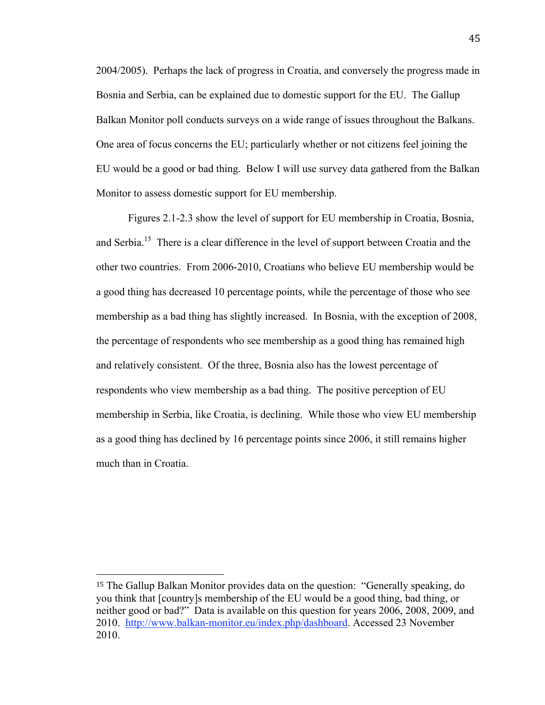2004/2005). Perhaps the lack of progress in Croatia, and conversely the progress made in Bosnia and Serbia, can be explained due to domestic support for the EU. The Gallup Balkan Monitor poll conducts surveys on a wide range of issues throughout the Balkans. One area of focus concerns the EU; particularly whether or not citizens feel joining the EU would be a good or bad thing. Below I will use survey data gathered from the Balkan Monitor to assess domestic support for EU membership.

Figures 2.1-2.3 show the level of support for EU membership in Croatia, Bosnia, and Serbia.<sup>15</sup> There is a clear difference in the level of support between Croatia and the other two countries. From 2006-2010, Croatians who believe EU membership would be a good thing has decreased 10 percentage points, while the percentage of those who see membership as a bad thing has slightly increased. In Bosnia, with the exception of 2008, the percentage of respondents who see membership as a good thing has remained high and relatively consistent. Of the three, Bosnia also has the lowest percentage of respondents who view membership as a bad thing. The positive perception of EU membership in Serbia, like Croatia, is declining. While those who view EU membership as a good thing has declined by 16 percentage points since 2006, it still remains higher much than in Croatia.

<sup>15</sup> The Gallup Balkan Monitor provides data on the question: "Generally speaking, do you think that [country]s membership of the EU would be a good thing, bad thing, or neither good or bad?" Data is available on this question for years 2006, 2008, 2009, and 2010. http://www.balkan-monitor.eu/index.php/dashboard. Accessed 23 November 2010.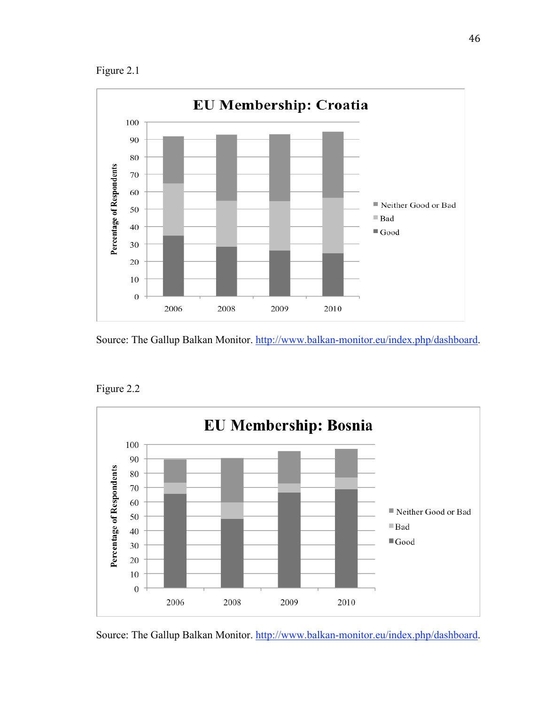Figure 2.1



Source: The Gallup Balkan Monitor. http://www.balkan-monitor.eu/index.php/dashboard.



Figure 2.2

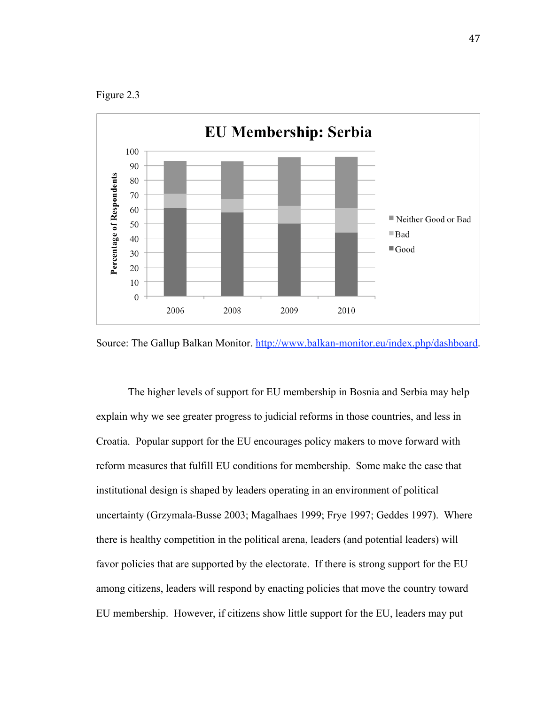Figure 2.3



Source: The Gallup Balkan Monitor. http://www.balkan-monitor.eu/index.php/dashboard.

The higher levels of support for EU membership in Bosnia and Serbia may help explain why we see greater progress to judicial reforms in those countries, and less in Croatia. Popular support for the EU encourages policy makers to move forward with reform measures that fulfill EU conditions for membership. Some make the case that institutional design is shaped by leaders operating in an environment of political uncertainty (Grzymala-Busse 2003; Magalhaes 1999; Frye 1997; Geddes 1997). Where there is healthy competition in the political arena, leaders (and potential leaders) will favor policies that are supported by the electorate. If there is strong support for the EU among citizens, leaders will respond by enacting policies that move the country toward EU membership. However, if citizens show little support for the EU, leaders may put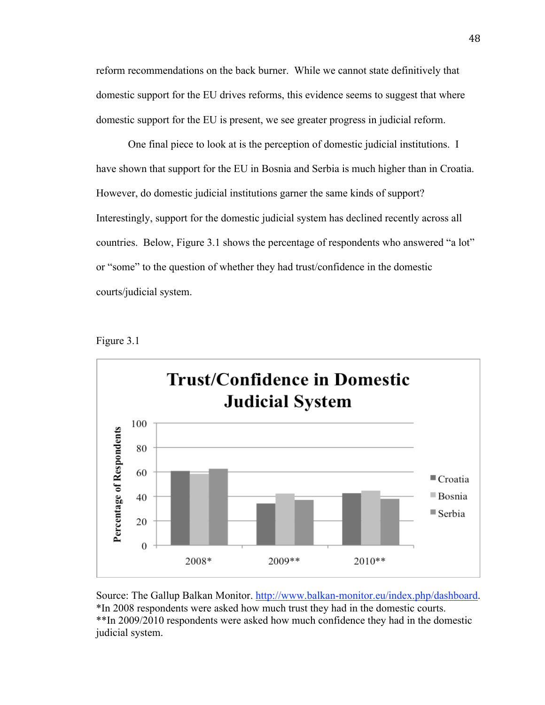reform recommendations on the back burner. While we cannot state definitively that domestic support for the EU drives reforms, this evidence seems to suggest that where domestic support for the EU is present, we see greater progress in judicial reform.

One final piece to look at is the perception of domestic judicial institutions. I have shown that support for the EU in Bosnia and Serbia is much higher than in Croatia. However, do domestic judicial institutions garner the same kinds of support? Interestingly, support for the domestic judicial system has declined recently across all countries. Below, Figure 3.1 shows the percentage of respondents who answered "a lot" or "some" to the question of whether they had trust/confidence in the domestic courts/judicial system.

Figure 3.1



Source: The Gallup Balkan Monitor. http://www.balkan-monitor.eu/index.php/dashboard. \*In 2008 respondents were asked how much trust they had in the domestic courts. \*\*In 2009/2010 respondents were asked how much confidence they had in the domestic judicial system.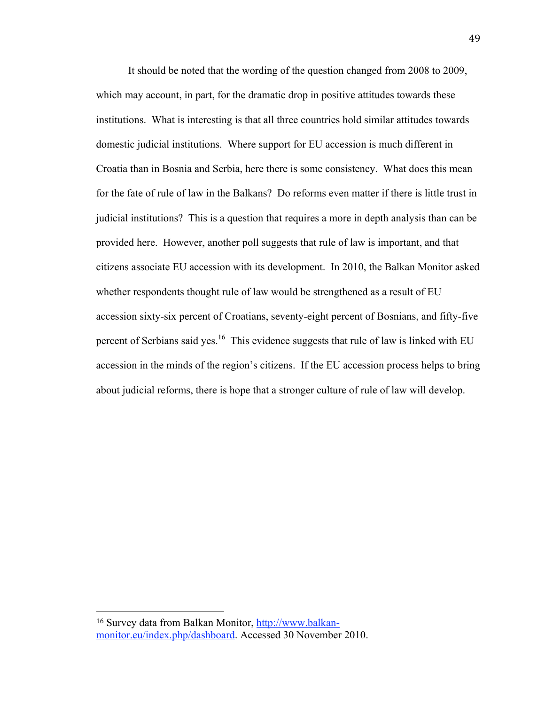It should be noted that the wording of the question changed from 2008 to 2009, which may account, in part, for the dramatic drop in positive attitudes towards these institutions. What is interesting is that all three countries hold similar attitudes towards domestic judicial institutions. Where support for EU accession is much different in Croatia than in Bosnia and Serbia, here there is some consistency. What does this mean for the fate of rule of law in the Balkans? Do reforms even matter if there is little trust in judicial institutions? This is a question that requires a more in depth analysis than can be provided here. However, another poll suggests that rule of law is important, and that citizens associate EU accession with its development. In 2010, the Balkan Monitor asked whether respondents thought rule of law would be strengthened as a result of EU accession sixty-six percent of Croatians, seventy-eight percent of Bosnians, and fifty-five percent of Serbians said yes.<sup>16</sup> This evidence suggests that rule of law is linked with EU accession in the minds of the region's citizens. If the EU accession process helps to bring about judicial reforms, there is hope that a stronger culture of rule of law will develop.

<sup>16</sup> Survey data from Balkan Monitor, http://www.balkanmonitor.eu/index.php/dashboard. Accessed 30 November 2010.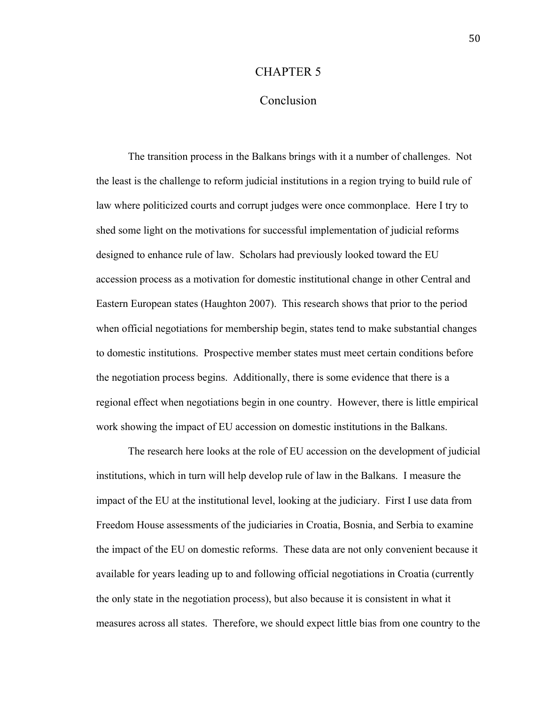#### CHAPTER 5

## Conclusion

The transition process in the Balkans brings with it a number of challenges. Not the least is the challenge to reform judicial institutions in a region trying to build rule of law where politicized courts and corrupt judges were once commonplace. Here I try to shed some light on the motivations for successful implementation of judicial reforms designed to enhance rule of law. Scholars had previously looked toward the EU accession process as a motivation for domestic institutional change in other Central and Eastern European states (Haughton 2007). This research shows that prior to the period when official negotiations for membership begin, states tend to make substantial changes to domestic institutions. Prospective member states must meet certain conditions before the negotiation process begins. Additionally, there is some evidence that there is a regional effect when negotiations begin in one country. However, there is little empirical work showing the impact of EU accession on domestic institutions in the Balkans.

The research here looks at the role of EU accession on the development of judicial institutions, which in turn will help develop rule of law in the Balkans. I measure the impact of the EU at the institutional level, looking at the judiciary. First I use data from Freedom House assessments of the judiciaries in Croatia, Bosnia, and Serbia to examine the impact of the EU on domestic reforms. These data are not only convenient because it available for years leading up to and following official negotiations in Croatia (currently the only state in the negotiation process), but also because it is consistent in what it measures across all states. Therefore, we should expect little bias from one country to the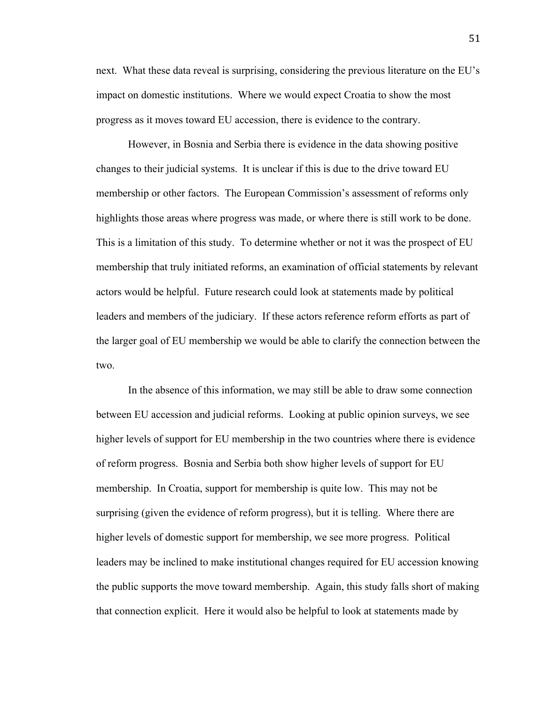next. What these data reveal is surprising, considering the previous literature on the EU's impact on domestic institutions. Where we would expect Croatia to show the most progress as it moves toward EU accession, there is evidence to the contrary.

However, in Bosnia and Serbia there is evidence in the data showing positive changes to their judicial systems. It is unclear if this is due to the drive toward EU membership or other factors. The European Commission's assessment of reforms only highlights those areas where progress was made, or where there is still work to be done. This is a limitation of this study. To determine whether or not it was the prospect of EU membership that truly initiated reforms, an examination of official statements by relevant actors would be helpful. Future research could look at statements made by political leaders and members of the judiciary. If these actors reference reform efforts as part of the larger goal of EU membership we would be able to clarify the connection between the two.

In the absence of this information, we may still be able to draw some connection between EU accession and judicial reforms. Looking at public opinion surveys, we see higher levels of support for EU membership in the two countries where there is evidence of reform progress. Bosnia and Serbia both show higher levels of support for EU membership. In Croatia, support for membership is quite low. This may not be surprising (given the evidence of reform progress), but it is telling. Where there are higher levels of domestic support for membership, we see more progress. Political leaders may be inclined to make institutional changes required for EU accession knowing the public supports the move toward membership. Again, this study falls short of making that connection explicit. Here it would also be helpful to look at statements made by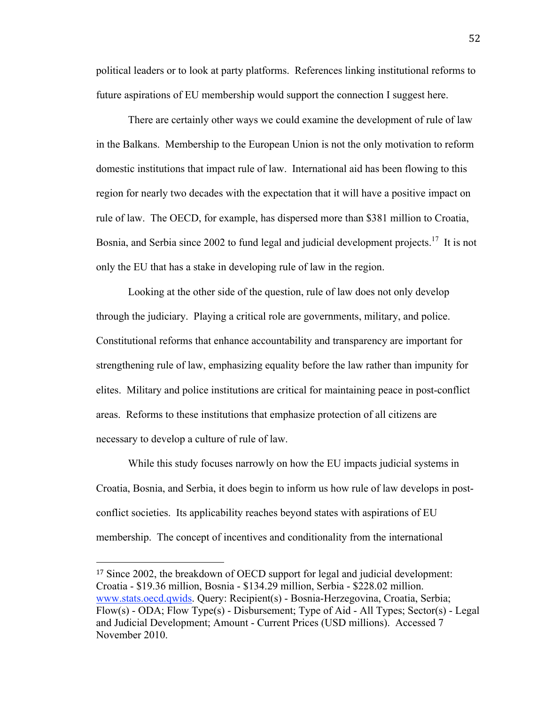political leaders or to look at party platforms. References linking institutional reforms to future aspirations of EU membership would support the connection I suggest here.

There are certainly other ways we could examine the development of rule of law in the Balkans. Membership to the European Union is not the only motivation to reform domestic institutions that impact rule of law. International aid has been flowing to this region for nearly two decades with the expectation that it will have a positive impact on rule of law. The OECD, for example, has dispersed more than \$381 million to Croatia, Bosnia, and Serbia since 2002 to fund legal and judicial development projects.<sup>17</sup> It is not only the EU that has a stake in developing rule of law in the region.

Looking at the other side of the question, rule of law does not only develop through the judiciary. Playing a critical role are governments, military, and police. Constitutional reforms that enhance accountability and transparency are important for strengthening rule of law, emphasizing equality before the law rather than impunity for elites. Military and police institutions are critical for maintaining peace in post-conflict areas. Reforms to these institutions that emphasize protection of all citizens are necessary to develop a culture of rule of law.

While this study focuses narrowly on how the EU impacts judicial systems in Croatia, Bosnia, and Serbia, it does begin to inform us how rule of law develops in postconflict societies. Its applicability reaches beyond states with aspirations of EU membership. The concept of incentives and conditionality from the international

<sup>17</sup> Since 2002, the breakdown of OECD support for legal and judicial development: Croatia - \$19.36 million, Bosnia - \$134.29 million, Serbia - \$228.02 million. www.stats.oecd.qwids. Query: Recipient(s) - Bosnia-Herzegovina, Croatia, Serbia; Flow(s) - ODA; Flow Type(s) - Disbursement; Type of Aid - All Types; Sector(s) - Legal and Judicial Development; Amount - Current Prices (USD millions). Accessed 7 November 2010.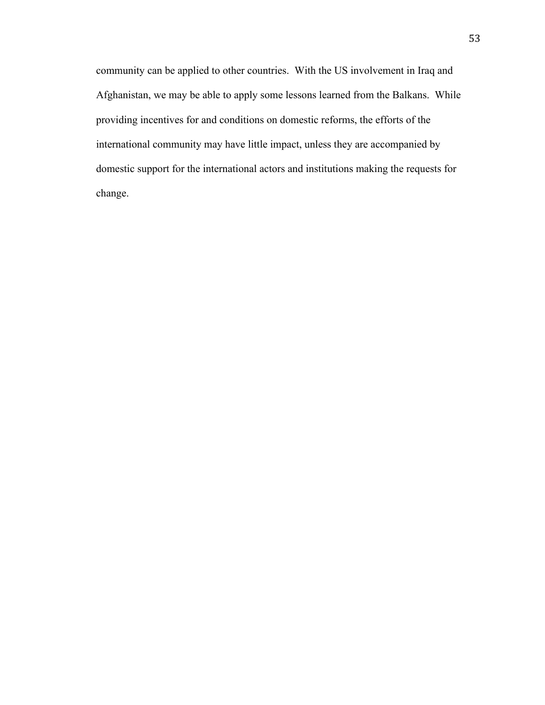community can be applied to other countries. With the US involvement in Iraq and Afghanistan, we may be able to apply some lessons learned from the Balkans. While providing incentives for and conditions on domestic reforms, the efforts of the international community may have little impact, unless they are accompanied by domestic support for the international actors and institutions making the requests for change.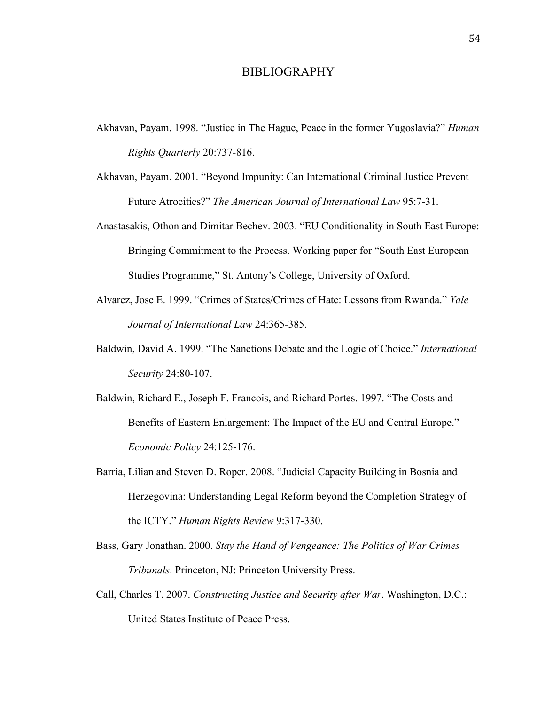#### BIBLIOGRAPHY

- Akhavan, Payam. 1998. "Justice in The Hague, Peace in the former Yugoslavia?" *Human Rights Quarterly* 20:737-816.
- Akhavan, Payam. 2001. "Beyond Impunity: Can International Criminal Justice Prevent Future Atrocities?" *The American Journal of International Law* 95:7-31.
- Anastasakis, Othon and Dimitar Bechev. 2003. "EU Conditionality in South East Europe: Bringing Commitment to the Process. Working paper for "South East European Studies Programme," St. Antony's College, University of Oxford.
- Alvarez, Jose E. 1999. "Crimes of States/Crimes of Hate: Lessons from Rwanda." *Yale Journal of International Law* 24:365-385.
- Baldwin, David A. 1999. "The Sanctions Debate and the Logic of Choice." *International Security* 24:80-107.
- Baldwin, Richard E., Joseph F. Francois, and Richard Portes. 1997. "The Costs and Benefits of Eastern Enlargement: The Impact of the EU and Central Europe." *Economic Policy* 24:125-176.
- Barria, Lilian and Steven D. Roper. 2008. "Judicial Capacity Building in Bosnia and Herzegovina: Understanding Legal Reform beyond the Completion Strategy of the ICTY." *Human Rights Review* 9:317-330.
- Bass, Gary Jonathan. 2000. *Stay the Hand of Vengeance: The Politics of War Crimes Tribunals*. Princeton, NJ: Princeton University Press.
- Call, Charles T. 2007. *Constructing Justice and Security after War*. Washington, D.C.: United States Institute of Peace Press.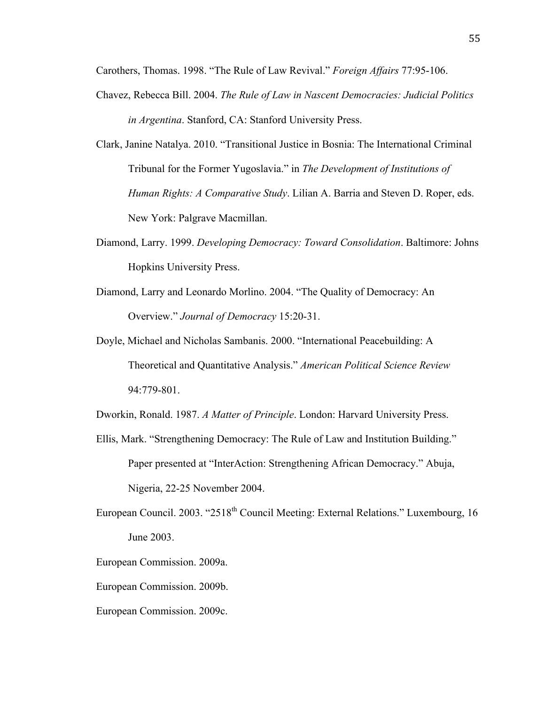Carothers, Thomas. 1998. "The Rule of Law Revival." *Foreign Affairs* 77:95-106.

- Chavez, Rebecca Bill. 2004. *The Rule of Law in Nascent Democracies: Judicial Politics in Argentina*. Stanford, CA: Stanford University Press.
- Clark, Janine Natalya. 2010. "Transitional Justice in Bosnia: The International Criminal Tribunal for the Former Yugoslavia." in *The Development of Institutions of Human Rights: A Comparative Study*. Lilian A. Barria and Steven D. Roper, eds. New York: Palgrave Macmillan.
- Diamond, Larry. 1999. *Developing Democracy: Toward Consolidation*. Baltimore: Johns Hopkins University Press.
- Diamond, Larry and Leonardo Morlino. 2004. "The Quality of Democracy: An Overview." *Journal of Democracy* 15:20-31.
- Doyle, Michael and Nicholas Sambanis. 2000. "International Peacebuilding: A Theoretical and Quantitative Analysis." *American Political Science Review* 94:779-801.

Dworkin, Ronald. 1987. *A Matter of Principle*. London: Harvard University Press.

- Ellis, Mark. "Strengthening Democracy: The Rule of Law and Institution Building." Paper presented at "InterAction: Strengthening African Democracy." Abuja, Nigeria, 22-25 November 2004.
- European Council. 2003. "2518<sup>th</sup> Council Meeting: External Relations." Luxembourg, 16 June 2003.
- European Commission. 2009a.
- European Commission. 2009b.
- European Commission. 2009c.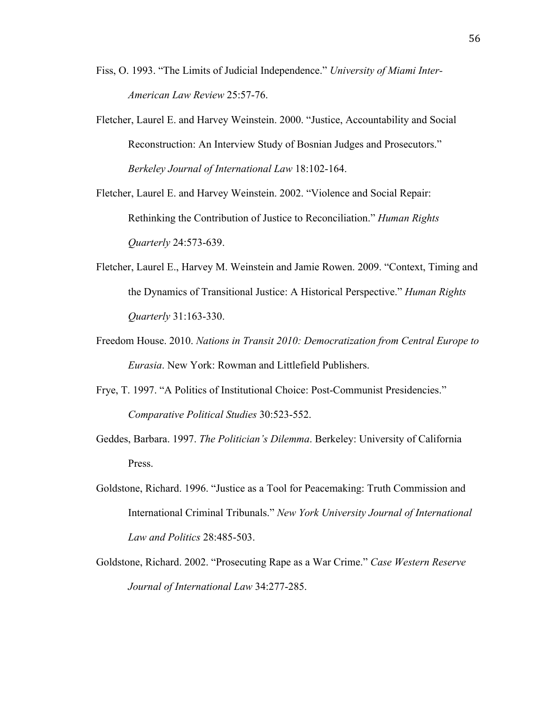- Fiss, O. 1993. "The Limits of Judicial Independence." *University of Miami Inter-American Law Review* 25:57-76.
- Fletcher, Laurel E. and Harvey Weinstein. 2000. "Justice, Accountability and Social Reconstruction: An Interview Study of Bosnian Judges and Prosecutors." *Berkeley Journal of International Law* 18:102-164.

Fletcher, Laurel E. and Harvey Weinstein. 2002. "Violence and Social Repair: Rethinking the Contribution of Justice to Reconciliation." *Human Rights Quarterly* 24:573-639.

- Fletcher, Laurel E., Harvey M. Weinstein and Jamie Rowen. 2009. "Context, Timing and the Dynamics of Transitional Justice: A Historical Perspective." *Human Rights Quarterly* 31:163-330.
- Freedom House. 2010. *Nations in Transit 2010: Democratization from Central Europe to Eurasia*. New York: Rowman and Littlefield Publishers.
- Frye, T. 1997. "A Politics of Institutional Choice: Post-Communist Presidencies." *Comparative Political Studies* 30:523-552.
- Geddes, Barbara. 1997. *The Politician's Dilemma*. Berkeley: University of California Press.
- Goldstone, Richard. 1996. "Justice as a Tool for Peacemaking: Truth Commission and International Criminal Tribunals." *New York University Journal of International Law and Politics* 28:485-503.
- Goldstone, Richard. 2002. "Prosecuting Rape as a War Crime." *Case Western Reserve Journal of International Law* 34:277-285.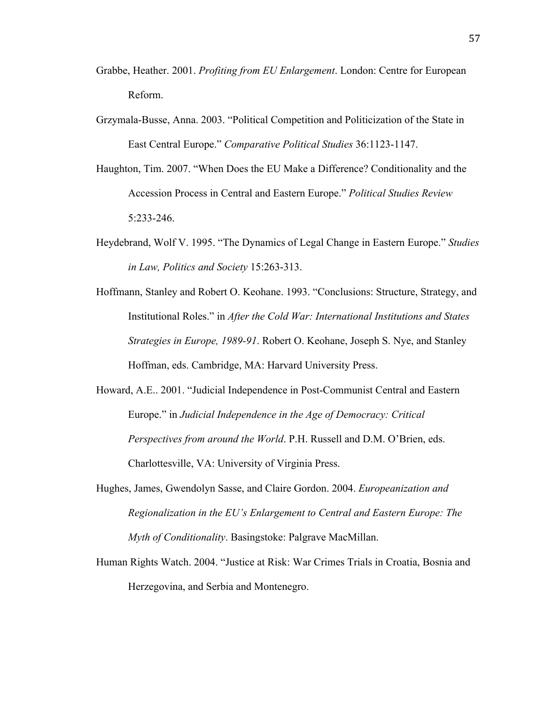- Grabbe, Heather. 2001. *Profiting from EU Enlargement*. London: Centre for European Reform.
- Grzymala-Busse, Anna. 2003. "Political Competition and Politicization of the State in East Central Europe." *Comparative Political Studies* 36:1123-1147.
- Haughton, Tim. 2007. "When Does the EU Make a Difference? Conditionality and the Accession Process in Central and Eastern Europe." *Political Studies Review* 5:233-246.
- Heydebrand, Wolf V. 1995. "The Dynamics of Legal Change in Eastern Europe." *Studies in Law, Politics and Society* 15:263-313.
- Hoffmann, Stanley and Robert O. Keohane. 1993. "Conclusions: Structure, Strategy, and Institutional Roles." in *After the Cold War: International Institutions and States Strategies in Europe, 1989-91*. Robert O. Keohane, Joseph S. Nye, and Stanley Hoffman, eds. Cambridge, MA: Harvard University Press.
- Howard, A.E.. 2001. "Judicial Independence in Post-Communist Central and Eastern Europe." in *Judicial Independence in the Age of Democracy: Critical Perspectives from around the World*. P.H. Russell and D.M. O'Brien, eds. Charlottesville, VA: University of Virginia Press.
- Hughes, James, Gwendolyn Sasse, and Claire Gordon. 2004. *Europeanization and Regionalization in the EU's Enlargement to Central and Eastern Europe: The Myth of Conditionality*. Basingstoke: Palgrave MacMillan.
- Human Rights Watch. 2004. "Justice at Risk: War Crimes Trials in Croatia, Bosnia and Herzegovina, and Serbia and Montenegro.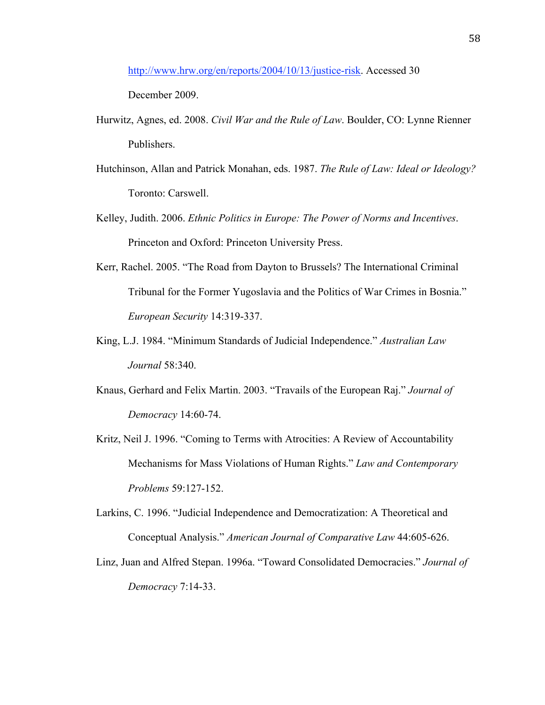http://www.hrw.org/en/reports/2004/10/13/justice-risk. Accessed 30

December 2009.

- Hurwitz, Agnes, ed. 2008. *Civil War and the Rule of Law*. Boulder, CO: Lynne Rienner Publishers.
- Hutchinson, Allan and Patrick Monahan, eds. 1987. *The Rule of Law: Ideal or Ideology?* Toronto: Carswell.
- Kelley, Judith. 2006. *Ethnic Politics in Europe: The Power of Norms and Incentives*. Princeton and Oxford: Princeton University Press.
- Kerr, Rachel. 2005. "The Road from Dayton to Brussels? The International Criminal Tribunal for the Former Yugoslavia and the Politics of War Crimes in Bosnia." *European Security* 14:319-337.
- King, L.J. 1984. "Minimum Standards of Judicial Independence." *Australian Law Journal* 58:340.
- Knaus, Gerhard and Felix Martin. 2003. "Travails of the European Raj." *Journal of Democracy* 14:60-74.
- Kritz, Neil J. 1996. "Coming to Terms with Atrocities: A Review of Accountability Mechanisms for Mass Violations of Human Rights." *Law and Contemporary Problems* 59:127-152.
- Larkins, C. 1996. "Judicial Independence and Democratization: A Theoretical and Conceptual Analysis." *American Journal of Comparative Law* 44:605-626.
- Linz, Juan and Alfred Stepan. 1996a. "Toward Consolidated Democracies." *Journal of Democracy* 7:14-33.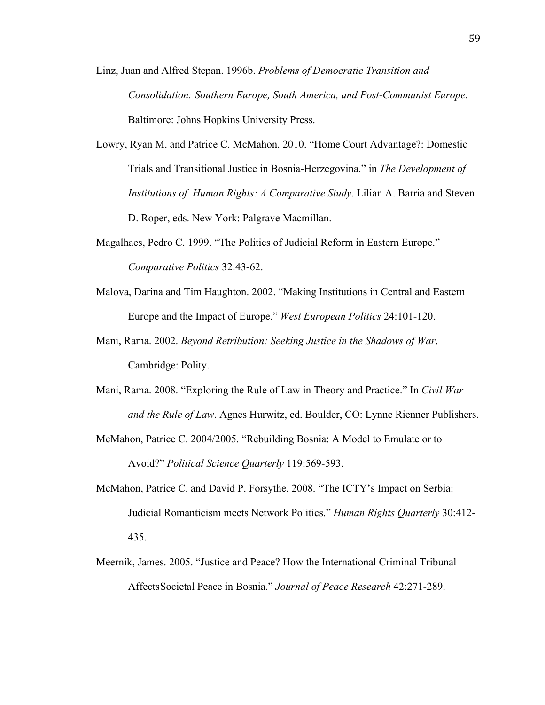- Linz, Juan and Alfred Stepan. 1996b. *Problems of Democratic Transition and Consolidation: Southern Europe, South America, and Post-Communist Europe*. Baltimore: Johns Hopkins University Press.
- Lowry, Ryan M. and Patrice C. McMahon. 2010. "Home Court Advantage?: Domestic Trials and Transitional Justice in Bosnia-Herzegovina." in *The Development of Institutions of Human Rights: A Comparative Study*. Lilian A. Barria and Steven D. Roper, eds. New York: Palgrave Macmillan.
- Magalhaes, Pedro C. 1999. "The Politics of Judicial Reform in Eastern Europe." *Comparative Politics* 32:43-62.
- Malova, Darina and Tim Haughton. 2002. "Making Institutions in Central and Eastern Europe and the Impact of Europe." *West European Politics* 24:101-120.
- Mani, Rama. 2002. *Beyond Retribution: Seeking Justice in the Shadows of War*. Cambridge: Polity.
- Mani, Rama. 2008. "Exploring the Rule of Law in Theory and Practice." In *Civil War and the Rule of Law*. Agnes Hurwitz, ed. Boulder, CO: Lynne Rienner Publishers.
- McMahon, Patrice C. 2004/2005. "Rebuilding Bosnia: A Model to Emulate or to Avoid?" *Political Science Quarterly* 119:569-593.
- McMahon, Patrice C. and David P. Forsythe. 2008. "The ICTY's Impact on Serbia: Judicial Romanticism meets Network Politics." *Human Rights Quarterly* 30:412- 435.
- Meernik, James. 2005. "Justice and Peace? How the International Criminal Tribunal AffectsSocietal Peace in Bosnia." *Journal of Peace Research* 42:271-289.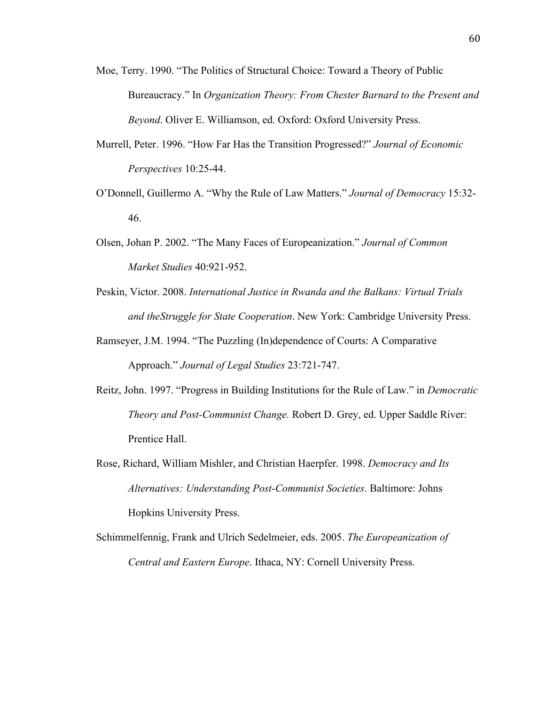- Moe, Terry. 1990. "The Politics of Structural Choice: Toward a Theory of Public Bureaucracy." In *Organization Theory: From Chester Barnard to the Present and Beyond*. Oliver E. Williamson, ed. Oxford: Oxford University Press.
- Murrell, Peter. 1996. "How Far Has the Transition Progressed?" *Journal of Economic Perspectives* 10:25-44.
- O'Donnell, Guillermo A. "Why the Rule of Law Matters." *Journal of Democracy* 15:32- 46.
- Olsen, Johan P. 2002. "The Many Faces of Europeanization." *Journal of Common Market Studies* 40:921-952.
- Peskin, Victor. 2008. *International Justice in Rwanda and the Balkans: Virtual Trials and theStruggle for State Cooperation*. New York: Cambridge University Press.
- Ramseyer, J.M. 1994. "The Puzzling (In)dependence of Courts: A Comparative Approach." *Journal of Legal Studies* 23:721-747.
- Reitz, John. 1997. "Progress in Building Institutions for the Rule of Law." in *Democratic Theory and Post-Communist Change.* Robert D. Grey, ed. Upper Saddle River: Prentice Hall.
- Rose, Richard, William Mishler, and Christian Haerpfer. 1998. *Democracy and Its Alternatives: Understanding Post-Communist Societies*. Baltimore: Johns Hopkins University Press.
- Schimmelfennig, Frank and Ulrich Sedelmeier, eds. 2005. *The Europeanization of Central and Eastern Europe*. Ithaca, NY: Cornell University Press.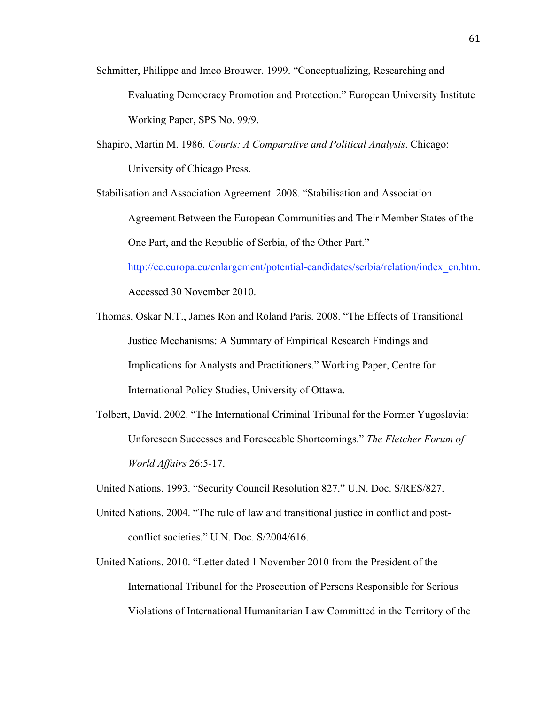- Schmitter, Philippe and Imco Brouwer. 1999. "Conceptualizing, Researching and Evaluating Democracy Promotion and Protection." European University Institute Working Paper, SPS No. 99/9.
- Shapiro, Martin M. 1986. *Courts: A Comparative and Political Analysis*. Chicago: University of Chicago Press.

Stabilisation and Association Agreement. 2008. "Stabilisation and Association Agreement Between the European Communities and Their Member States of the One Part, and the Republic of Serbia, of the Other Part." http://ec.europa.eu/enlargement/potential-candidates/serbia/relation/index\_en.htm.

Accessed 30 November 2010.

- Thomas, Oskar N.T., James Ron and Roland Paris. 2008. "The Effects of Transitional Justice Mechanisms: A Summary of Empirical Research Findings and Implications for Analysts and Practitioners." Working Paper, Centre for International Policy Studies, University of Ottawa.
- Tolbert, David. 2002. "The International Criminal Tribunal for the Former Yugoslavia: Unforeseen Successes and Foreseeable Shortcomings." *The Fletcher Forum of World Affairs* 26:5-17.
- United Nations. 1993. "Security Council Resolution 827." U.N. Doc. S/RES/827.
- United Nations. 2004. "The rule of law and transitional justice in conflict and postconflict societies." U.N. Doc. S/2004/616.
- United Nations. 2010. "Letter dated 1 November 2010 from the President of the International Tribunal for the Prosecution of Persons Responsible for Serious Violations of International Humanitarian Law Committed in the Territory of the